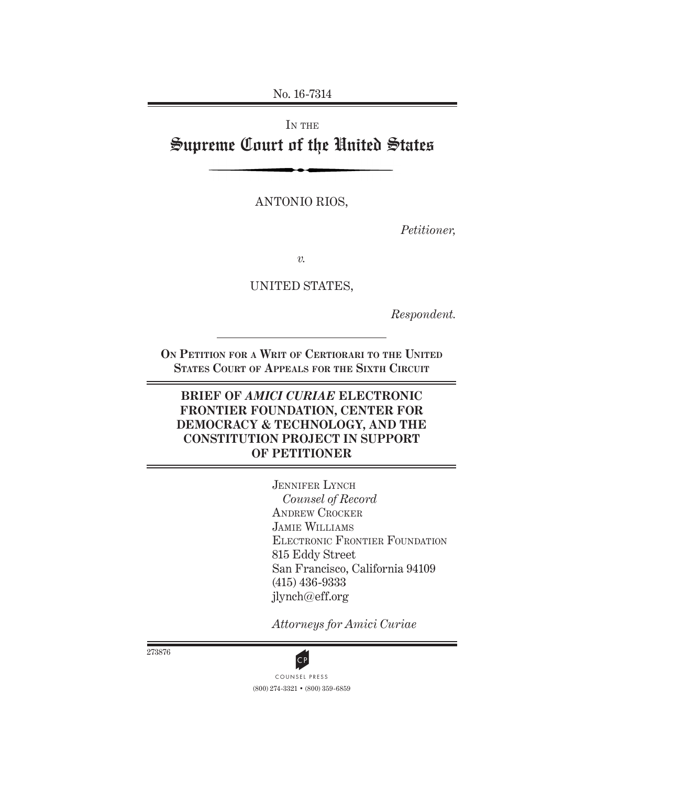No. 16-7314

IN THE Supreme Court of the United States

ANTONIO RIOS,

*Petitioner,*

*v.*

UNITED STATES,

*Respondent.*

**On Petition for a Writ of Certiorari to the United States Court of Appeals for the Sixth Circuit**

### **BRIEF OF** *AMICI CURIAE* **ELECTRONIC FRONTIER FOUNDATION, CENTER FOR DEMOCRACY & TECHNOLOGY, AND THE CONSTITUTION PROJECT IN SUPPORT OF PETITIONER**

JENNIFER LYNCH *Counsel of Record* ANDREW CROCKER Jamie Williams Electronic Frontier Foundation 815 Eddy Street San Francisco, California 94109 (415) 436-9333 jlynch@eff.org

*Attorneys for Amici Curiae*

273876



(800) 274-3321 • (800) 359-6859 CP<br>COUNSEL PRESS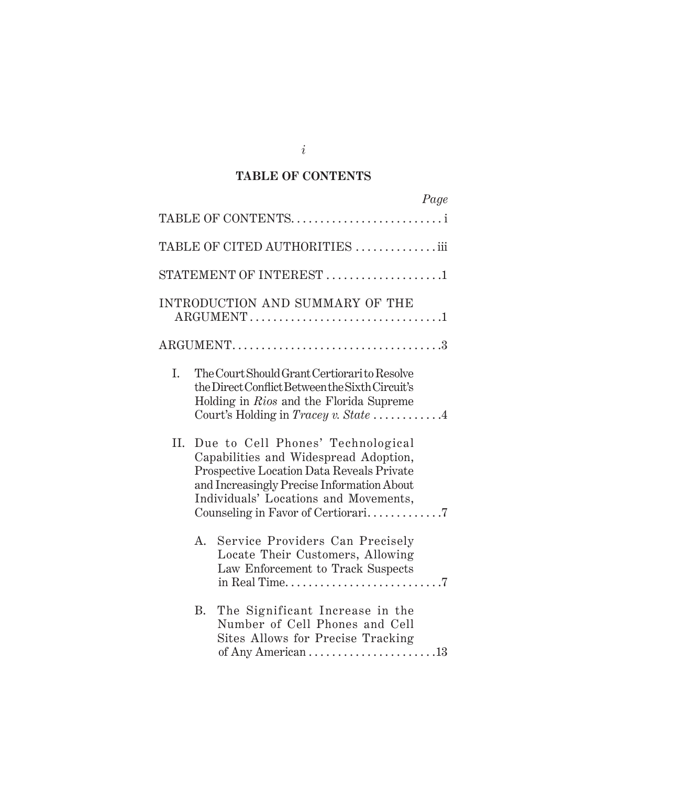## **TABLE OF CONTENTS**

|           |                                                                                                                                                                                                                        | Page |
|-----------|------------------------------------------------------------------------------------------------------------------------------------------------------------------------------------------------------------------------|------|
|           | TABLE OF CONTENTS                                                                                                                                                                                                      |      |
|           | TABLE OF CITED AUTHORITIES iii                                                                                                                                                                                         |      |
|           | STATEMENT OF INTEREST 1                                                                                                                                                                                                |      |
|           | INTRODUCTION AND SUMMARY OF THE<br>ARGUMENT1                                                                                                                                                                           |      |
|           |                                                                                                                                                                                                                        |      |
| I.<br>II. | The Court Should Grant Certiorarito Resolve<br>the Direct Conflict Between the Sixth Circuit's<br>Holding in Rios and the Florida Supreme<br>Court's Holding in Tracey v. State 4<br>Due to Cell Phones' Technological |      |
|           | Capabilities and Widespread Adoption,<br>Prospective Location Data Reveals Private<br>and Increasingly Precise Information About<br>Individuals' Locations and Movements,                                              |      |
|           | Service Providers Can Precisely<br>$A_{\cdot}$<br>Locate Their Customers, Allowing<br>Law Enforcement to Track Suspects                                                                                                |      |
|           | The Significant Increase in the<br>B.<br>Number of Cell Phones and Cell<br>Sites Allows for Precise Tracking                                                                                                           |      |

*i*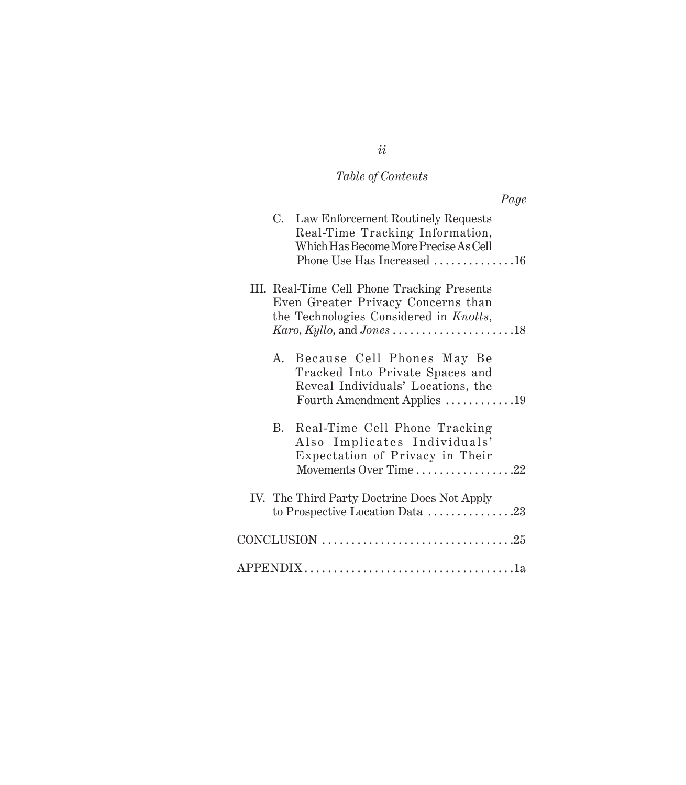# *Table of Contents*

|--|

|           | C. Law Enforcement Routinely Requests<br>Real-Time Tracking Information,<br>Which Has Become More Precise As Cell<br>Phone Use Has Increased 16 |
|-----------|-------------------------------------------------------------------------------------------------------------------------------------------------|
|           | III. Real-Time Cell Phone Tracking Presents<br>Even Greater Privacy Concerns than<br>the Technologies Considered in Knotts,                     |
| A.        | Because Cell Phones May Be<br>Tracked Into Private Spaces and<br>Reveal Individuals' Locations, the<br>Fourth Amendment Applies 19              |
| <b>B.</b> | Real-Time Cell Phone Tracking<br>Also Implicates Individuals'<br>Expectation of Privacy in Their<br>Movements Over Time 22                      |
|           | IV. The Third Party Doctrine Does Not Apply<br>to Prospective Location Data 23                                                                  |
|           |                                                                                                                                                 |
|           |                                                                                                                                                 |

# *ii*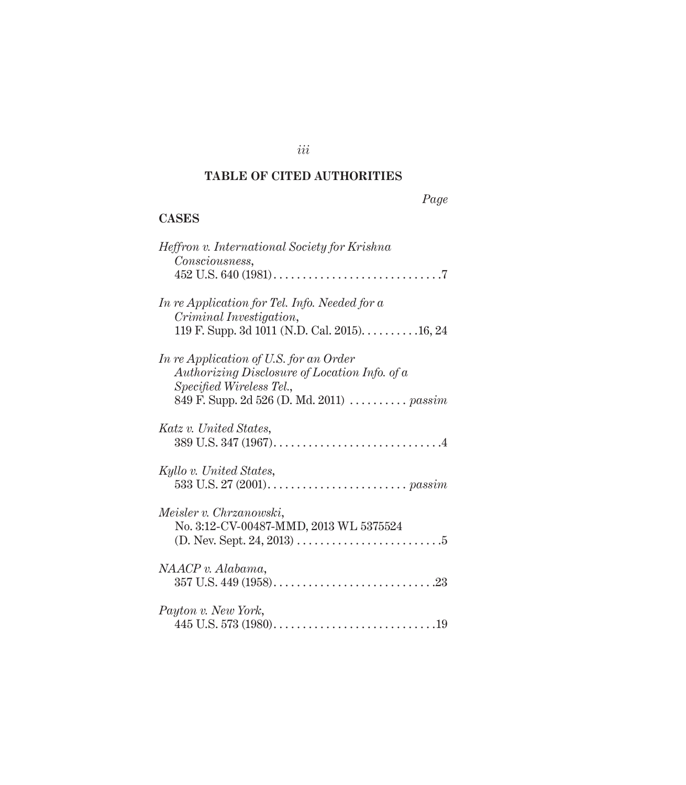# **TABLE OF CITED AUTHORITIES**

# *Page*

# **CASES**

| Heffron v. International Society for Krishna<br>Consciousness,                                                                                                   |
|------------------------------------------------------------------------------------------------------------------------------------------------------------------|
| In re Application for Tel. Info. Needed for a<br>Criminal Investigation,<br>119 F. Supp. 3d 1011 (N.D. Cal. 2015). $\dots \dots 16, 24$                          |
| In re Application of U.S. for an Order<br>Authorizing Disclosure of Location Info. of a<br>Specified Wireless Tel.,<br>849 F. Supp. 2d 526 (D. Md. 2011)  passim |
| Katz v. United States,                                                                                                                                           |
| Kyllo v. United States,                                                                                                                                          |
| Meisler v. Chrzanowski,<br>No. 3:12-CV-00487-MMD, 2013 WL 5375524                                                                                                |
| NAACP v. Alabama,                                                                                                                                                |
| Payton v. New York,                                                                                                                                              |

*iii*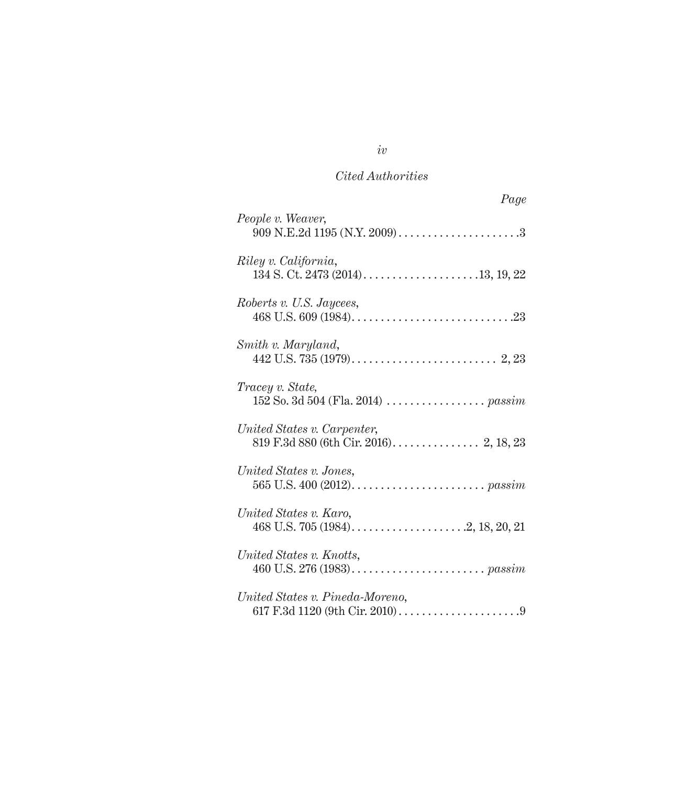| Page                            |
|---------------------------------|
| People v. Weaver,               |
| Riley v. California,            |
| Roberts v. U.S. Jaycees,        |
| Smith v. Maryland,              |
| Tracey v. State,                |
| United States v. Carpenter,     |
| United States v. Jones,         |
| United States v. Karo,          |
| United States v. Knotts,        |
| United States v. Pineda-Moreno, |

*iv*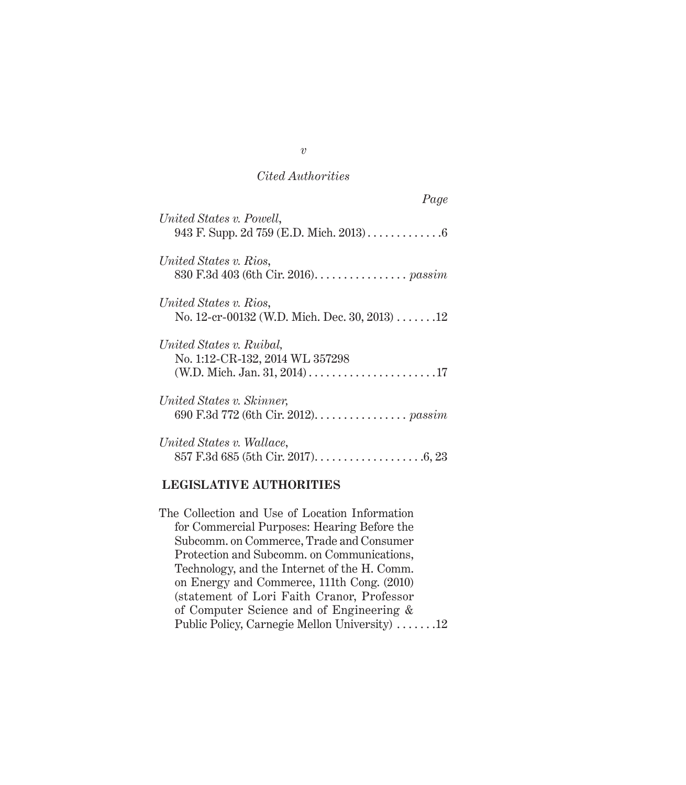| Page                                                                    |
|-------------------------------------------------------------------------|
| United States v. Powell,                                                |
| United States v. Rios,<br>830 F.3d 403 (6th Cir. 2016). passim          |
| United States v. Rios,<br>No. 12-cr-00132 (W.D. Mich. Dec. 30, 2013) 12 |
| United States v. Ruibal,<br>No. 1:12-CR-132, 2014 WL 357298             |
| United States v. Skinner,<br>690 F.3d 772 (6th Cir. 2012). passim       |
| United States v. Wallace,                                               |

#### **LEGISLATIVE AUTHORITIES**

The Collection and Use of Location Information for Commercial Purposes: Hearing Before the Subcomm. on Commerce, Trade and Consumer Protection and Subcomm. on Communications, Technology, and the Internet of the H. Comm. on Energy and Commerce, 111th Cong. (2010) (statement of Lori Faith Cranor, Professor of Computer Science and of Engineering & Public Policy, Carnegie Mellon University)  $\ldots \ldots$  12

*v*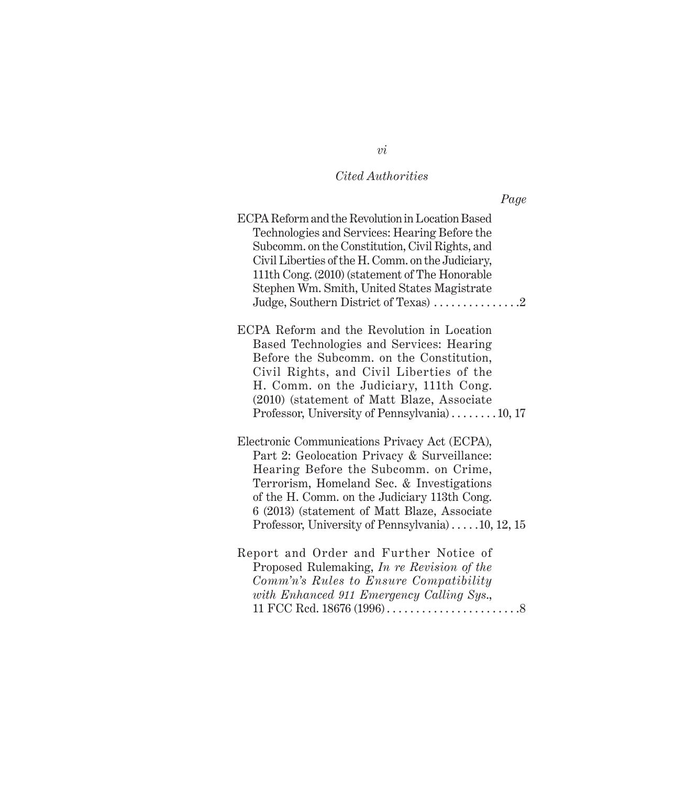*Page*

| ECPA Reform and the Revolution in Location Based<br>Technologies and Services: Hearing Before the<br>Subcomm. on the Constitution, Civil Rights, and<br>Civil Liberties of the H. Comm. on the Judiciary,<br>111th Cong. (2010) (statement of The Honorable<br>Stephen Wm. Smith, United States Magistrate                             |
|----------------------------------------------------------------------------------------------------------------------------------------------------------------------------------------------------------------------------------------------------------------------------------------------------------------------------------------|
| ECPA Reform and the Revolution in Location<br>Based Technologies and Services: Hearing<br>Before the Subcomm. on the Constitution,<br>Civil Rights, and Civil Liberties of the<br>H. Comm. on the Judiciary, 111th Cong.<br>(2010) (statement of Matt Blaze, Associate<br>Professor, University of Pennsylvania)10, 17                 |
| Electronic Communications Privacy Act (ECPA),<br>Part 2: Geolocation Privacy & Surveillance:<br>Hearing Before the Subcomm. on Crime,<br>Terrorism, Homeland Sec. & Investigations<br>of the H. Comm. on the Judiciary 113th Cong.<br>6 (2013) (statement of Matt Blaze, Associate<br>Professor, University of Pennsylvania)10, 12, 15 |
| Report and Order and Further Notice of<br>Proposed Rulemaking, In re Revision of the<br>Comm'n's Rules to Ensure Compatibility<br>with Enhanced 911 Emergency Calling Sys.,                                                                                                                                                            |

*vi*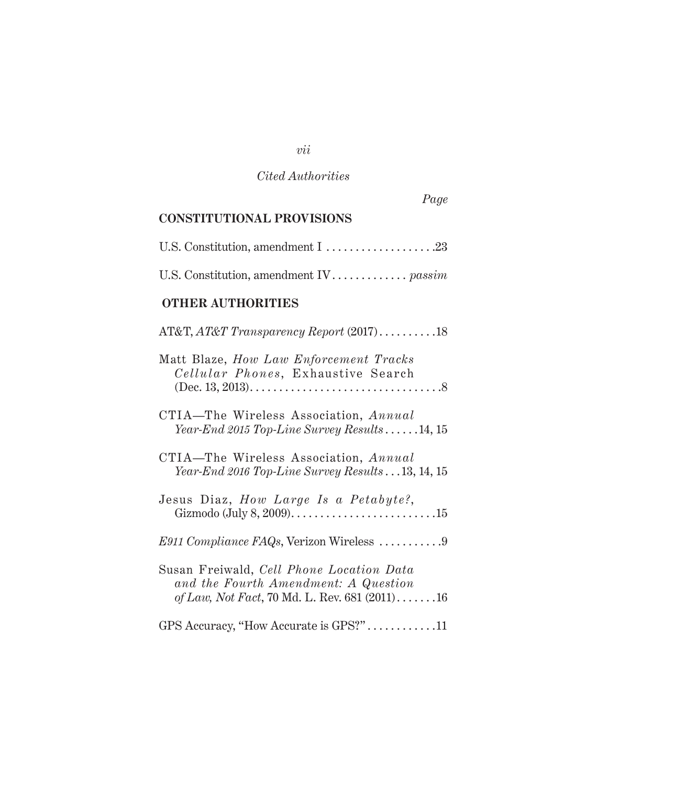*vii*

*Page*

## **CONSTITUTIONAL PROVISIONS**

| U.S. Constitution, amendment $1 \ldots \ldots \ldots \ldots \ldots \ldots \ldots 23$                                                 |
|--------------------------------------------------------------------------------------------------------------------------------------|
| U.S. Constitution, amendment IV passim                                                                                               |
| <b>OTHER AUTHORITIES</b>                                                                                                             |
| AT&T, AT&T Transparency Report $(2017)$ 18                                                                                           |
| Matt Blaze, How Law Enforcement Tracks<br>Cellular Phones, Exhaustive Search                                                         |
| CTIA-The Wireless Association, Annual<br>Year-End 2015 Top-Line Survey Results14, 15                                                 |
| CTIA-The Wireless Association, Annual<br>Year-End 2016 Top-Line Survey Results $\ldots$ 13, 14, 15                                   |
| Jesus Diaz, How Large Is a Petabyte?,                                                                                                |
|                                                                                                                                      |
| Susan Freiwald, Cell Phone Location Data<br>and the Fourth Amendment: A Question<br>of Law, Not Fact, 70 Md. L. Rev. 681 $(2011)$ 16 |
| GPS Accuracy, "How Accurate is GPS?"11                                                                                               |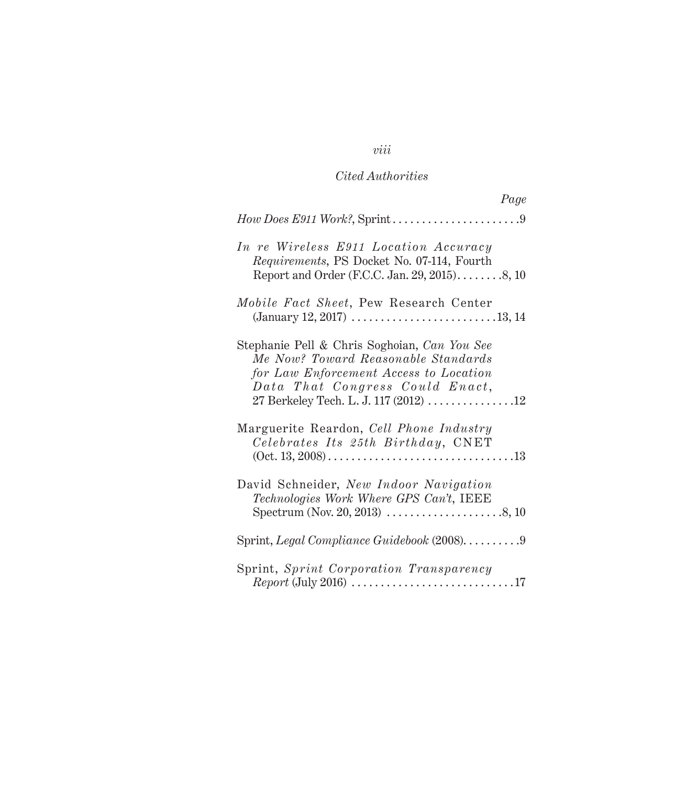| Page                                                                                                                                                                                                      |
|-----------------------------------------------------------------------------------------------------------------------------------------------------------------------------------------------------------|
|                                                                                                                                                                                                           |
| In re Wireless E911 Location Accuracy<br>Requirements, PS Docket No. 07-114, Fourth                                                                                                                       |
| <i>Mobile Fact Sheet</i> , Pew Research Center                                                                                                                                                            |
| Stephanie Pell & Chris Soghoian, Can You See<br>Me Now? Toward Reasonable Standards<br>for Law Enforcement Access to Location<br>Data That Congress Could Enact,<br>27 Berkeley Tech. L. J. 117 (2012) 12 |
| Marguerite Reardon, Cell Phone Industry<br>Celebrates Its 25th Birthday, CNET                                                                                                                             |
| David Schneider, New Indoor Navigation<br>Technologies Work Where GPS Can't, IEEE<br>Spectrum (Nov. 20, 2013) $\dots \dots \dots \dots \dots \dots \dots$ . 8, 10                                         |
|                                                                                                                                                                                                           |
| Sprint, Sprint Corporation Transparency                                                                                                                                                                   |

# *viii*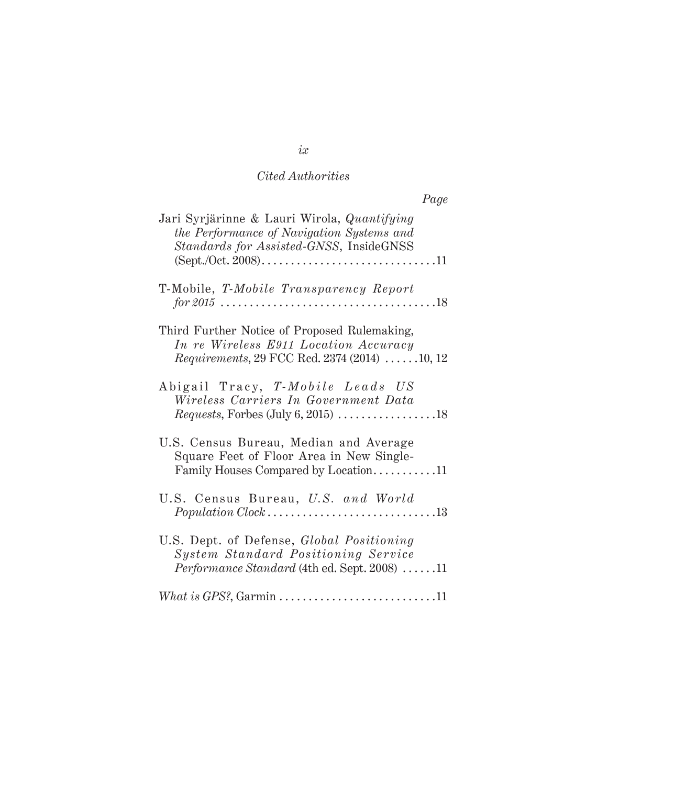| Page |                                                                                                                                              |
|------|----------------------------------------------------------------------------------------------------------------------------------------------|
|      | Jari Syrjärinne & Lauri Wirola, Quantifying<br>the Performance of Navigation Systems and<br>Standards for Assisted-GNSS, InsideGNSS          |
|      | T-Mobile, T-Mobile Transparency Report                                                                                                       |
|      | Third Further Notice of Proposed Rulemaking,<br>In re Wireless E911 Location Accuracy<br><i>Requirements, 29 FCC Rcd. 2374 (2014) 10, 12</i> |
|      | Abigail Tracy, T-Mobile Leads US<br>Wireless Carriers In Government Data                                                                     |
|      | U.S. Census Bureau, Median and Average<br>Square Feet of Floor Area in New Single-<br>Family Houses Compared by Location11                   |
|      | U.S. Census Bureau, U.S. and World<br>$Population \, Clock \ldots \ldots \ldots \ldots \ldots \ldots \ldots \ldots \ldots \ldots 13$         |
|      | U.S. Dept. of Defense, Global Positioning<br>System Standard Positioning Service<br>Performance Standard (4th ed. Sept. 2008) 11             |
|      |                                                                                                                                              |

*ix*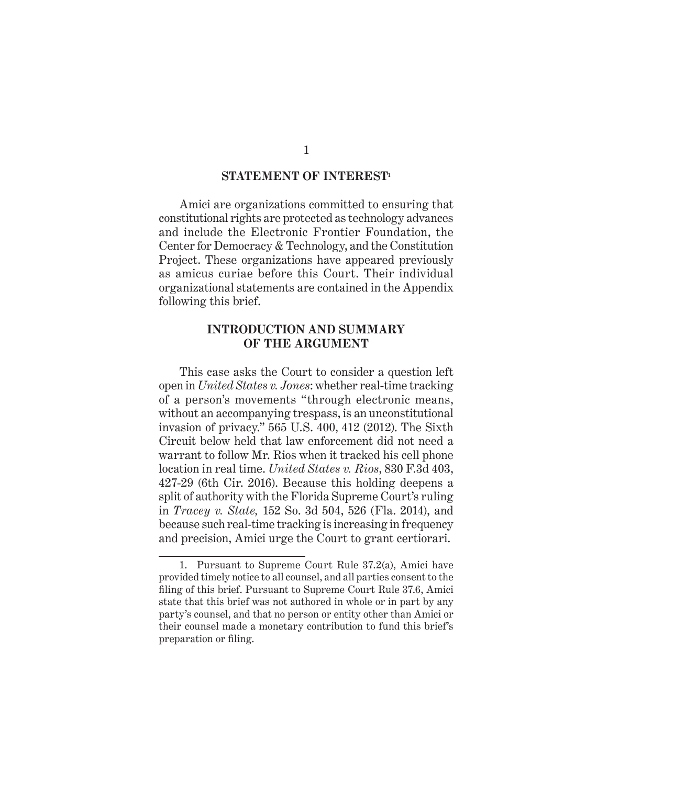#### **STATEMENT OF INTEREST1**

Amici are organizations committed to ensuring that constitutional rights are protected as technology advances and include the Electronic Frontier Foundation, the Center for Democracy & Technology, and the Constitution Project. These organizations have appeared previously as amicus curiae before this Court. Their individual organizational statements are contained in the Appendix following this brief.

### **INTRODUCTION AND SUMMARY OF THE ARGUMENT**

This case asks the Court to consider a question left open in *United States v. Jones*: whether real-time tracking of a person's movements "through electronic means, without an accompanying trespass, is an unconstitutional invasion of privacy." 565 U.S. 400, 412 (2012). The Sixth Circuit below held that law enforcement did not need a warrant to follow Mr. Rios when it tracked his cell phone location in real time. *United States v. Rios*, 830 F.3d 403, 427-29 (6th Cir. 2016). Because this holding deepens a split of authority with the Florida Supreme Court's ruling in *Tracey v. State,* 152 So. 3d 504, 526 (Fla. 2014), and because such real-time tracking is increasing in frequency and precision, Amici urge the Court to grant certiorari.

<sup>1.</sup> Pursuant to Supreme Court Rule 37.2(a), Amici have provided timely notice to all counsel, and all parties consent to the filing of this brief. Pursuant to Supreme Court Rule 37.6, Amici state that this brief was not authored in whole or in part by any party's counsel, and that no person or entity other than Amici or their counsel made a monetary contribution to fund this brief's preparation or filing.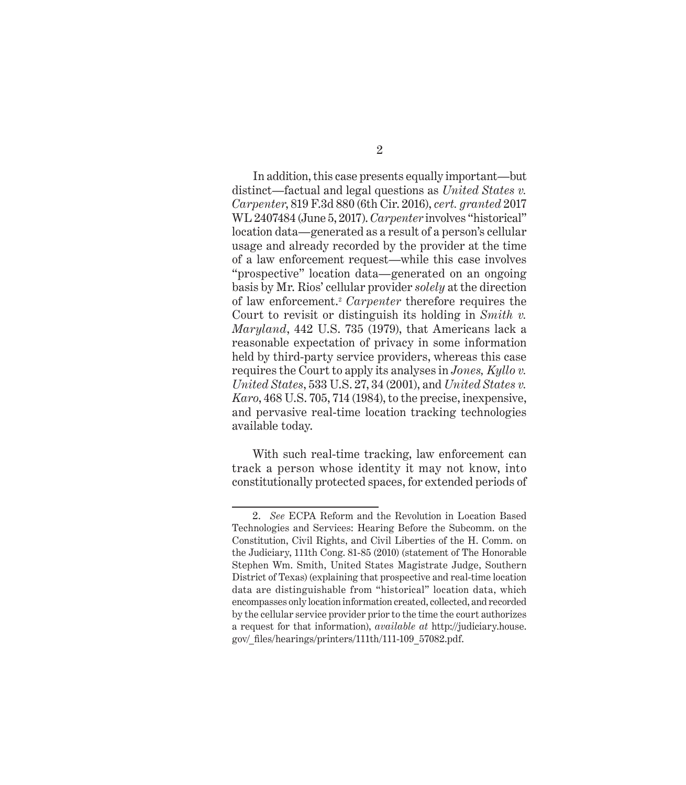In addition, this case presents equally important—but distinct—factual and legal questions as *United States v. Carpenter*, 819 F.3d 880 (6th Cir. 2016), *cert. granted* 2017 WL 2407484 (June 5, 2017). *Carpenter* involves "historical" location data—generated as a result of a person's cellular usage and already recorded by the provider at the time of a law enforcement request—while this case involves "prospective" location data—generated on an ongoing basis by Mr. Rios' cellular provider *solely* at the direction of law enforcement.<sup>2</sup> *Carpenter* therefore requires the Court to revisit or distinguish its holding in *Smith v. Maryland*, 442 U.S. 735 (1979), that Americans lack a reasonable expectation of privacy in some information held by third-party service providers, whereas this case requires the Court to apply its analyses in *Jones, Kyllo v. United States*, 533 U.S. 27, 34 (2001), and *United States v. Karo*, 468 U.S. 705, 714 (1984), to the precise, inexpensive, and pervasive real-time location tracking technologies available today.

With such real-time tracking, law enforcement can track a person whose identity it may not know, into constitutionally protected spaces, for extended periods of

<sup>2.</sup> *See* ECPA Reform and the Revolution in Location Based Technologies and Services: Hearing Before the Subcomm. on the Constitution, Civil Rights, and Civil Liberties of the H. Comm. on the Judiciary, 111th Cong. 81-85 (2010) (statement of The Honorable Stephen Wm. Smith, United States Magistrate Judge, Southern District of Texas) (explaining that prospective and real-time location data are distinguishable from "historical" location data, which encompasses only location information created, collected, and recorded by the cellular service provider prior to the time the court authorizes a request for that information), *available at* http://judiciary.house. gov/\_files/hearings/printers/111th/111-109\_57082.pdf.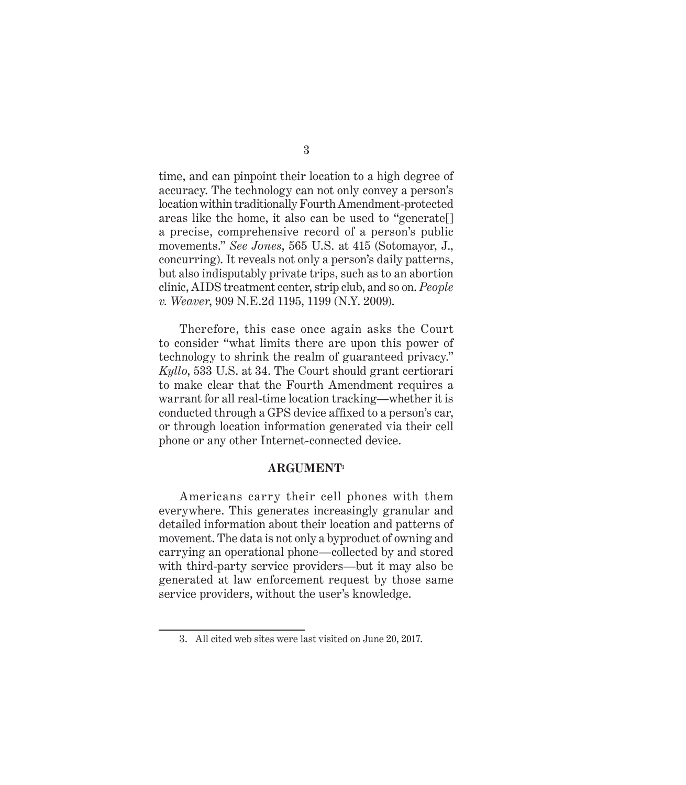time, and can pinpoint their location to a high degree of accuracy. The technology can not only convey a person's location within traditionally Fourth Amendment-protected areas like the home, it also can be used to "generate[] a precise, comprehensive record of a person's public movements." *See Jones*, 565 U.S. at 415 (Sotomayor, J., concurring). It reveals not only a person's daily patterns, but also indisputably private trips, such as to an abortion clinic, AIDS treatment center, strip club, and so on. *People v. Weaver*, 909 N.E.2d 1195, 1199 (N.Y. 2009).

Therefore, this case once again asks the Court to consider "what limits there are upon this power of technology to shrink the realm of guaranteed privacy." *Kyllo*, 533 U.S. at 34. The Court should grant certiorari to make clear that the Fourth Amendment requires a warrant for all real-time location tracking—whether it is conducted through a GPS device affixed to a person's car, or through location information generated via their cell phone or any other Internet-connected device.

#### **ARGUMENT3**

Americans carry their cell phones with them everywhere. This generates increasingly granular and detailed information about their location and patterns of movement. The data is not only a byproduct of owning and carrying an operational phone—collected by and stored with third-party service providers—but it may also be generated at law enforcement request by those same service providers, without the user's knowledge.

<sup>3.</sup> All cited web sites were last visited on June 20, 2017.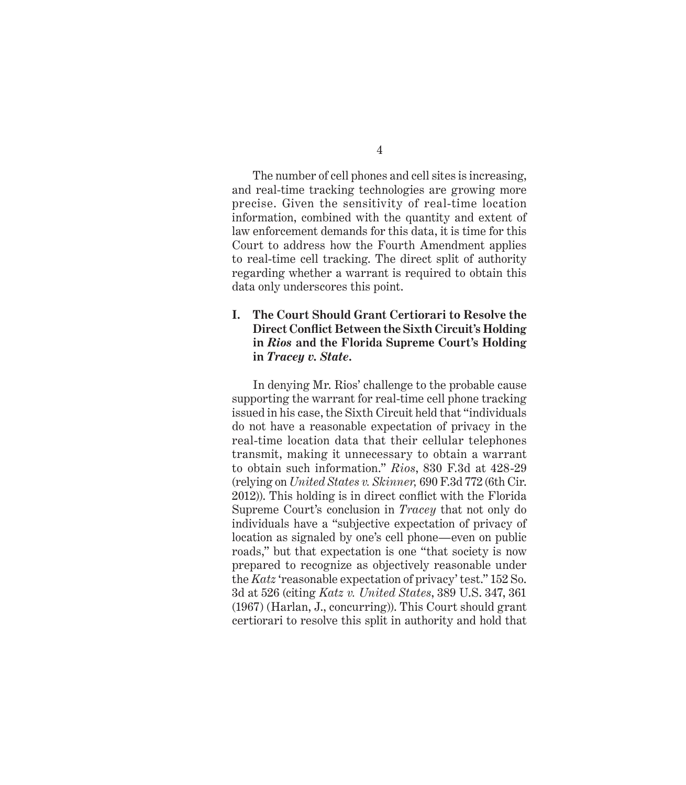The number of cell phones and cell sites is increasing, and real-time tracking technologies are growing more precise. Given the sensitivity of real-time location information, combined with the quantity and extent of law enforcement demands for this data, it is time for this Court to address how the Fourth Amendment applies to real-time cell tracking. The direct split of authority regarding whether a warrant is required to obtain this data only underscores this point.

### **I. The Court Should Grant Certiorari to Resolve the Direct Conflict Between the Sixth Circuit's Holding in** *Rios* **and the Florida Supreme Court's Holding in** *Tracey v. State***.**

In denying Mr. Rios' challenge to the probable cause supporting the warrant for real-time cell phone tracking issued in his case, the Sixth Circuit held that "individuals do not have a reasonable expectation of privacy in the real-time location data that their cellular telephones transmit, making it unnecessary to obtain a warrant to obtain such information." *Rios*, 830 F.3d at 428-29 (relying on *United States v. Skinner,* 690 F.3d 772 (6th Cir. 2012)). This holding is in direct conflict with the Florida Supreme Court's conclusion in *Tracey* that not only do individuals have a "subjective expectation of privacy of location as signaled by one's cell phone—even on public roads," but that expectation is one "that society is now prepared to recognize as objectively reasonable under the *Katz* 'reasonable expectation of privacy' test." 152 So. 3d at 526 (citing *Katz v. United States*, 389 U.S. 347, 361 (1967) (Harlan, J., concurring)). This Court should grant certiorari to resolve this split in authority and hold that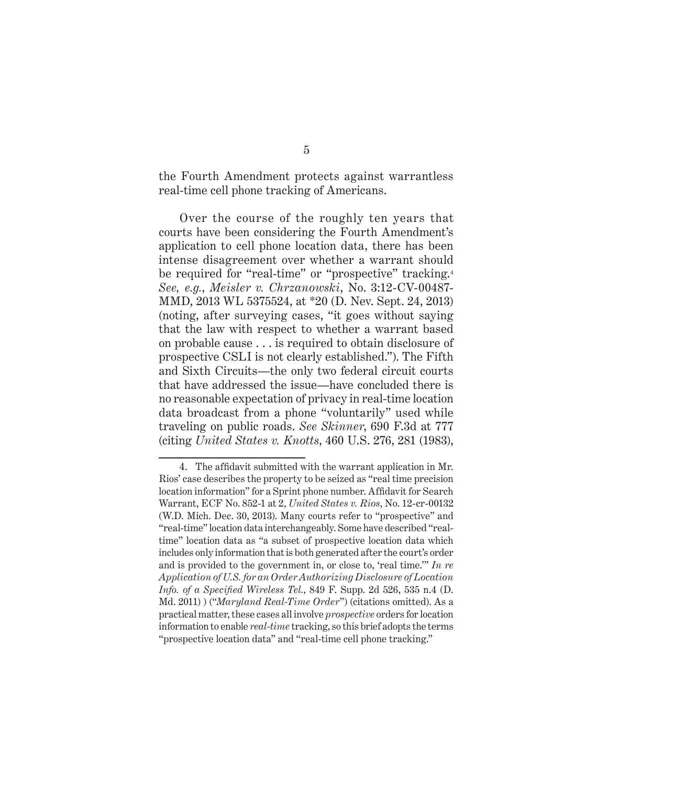the Fourth Amendment protects against warrantless real-time cell phone tracking of Americans.

Over the course of the roughly ten years that courts have been considering the Fourth Amendment's application to cell phone location data, there has been intense disagreement over whether a warrant should be required for "real-time" or "prospective" tracking. *See, e.g.*, *Meisler v. Chrzanowski*, No. 3:12-CV-00487- MMD, 2013 WL 5375524, at \*20 (D. Nev. Sept. 24, 2013) (noting, after surveying cases, "it goes without saying that the law with respect to whether a warrant based on probable cause . . . is required to obtain disclosure of prospective CSLI is not clearly established."). The Fifth and Sixth Circuits—the only two federal circuit courts that have addressed the issue—have concluded there is no reasonable expectation of privacy in real-time location data broadcast from a phone "voluntarily" used while traveling on public roads. *See Skinner*, 690 F.3d at 777 (citing *United States v. Knotts*, 460 U.S. 276, 281 (1983),

<sup>4.</sup> The affidavit submitted with the warrant application in Mr. Rios' case describes the property to be seized as "real time precision location information" for a Sprint phone number. Affidavit for Search Warrant, ECF No. 852-1 at 2, *United States v. Rios*, No. 12-cr-00132 (W.D. Mich. Dec. 30, 2013). Many courts refer to "prospective" and "real-time" location data interchangeably. Some have described "realtime" location data as "a subset of prospective location data which includes only information that is both generated after the court's order and is provided to the government in, or close to, 'real time.'" *In re Application of U.S. for an Order Authorizing Disclosure of Location Info. of a Specified Wireless Tel.*, 849 F. Supp. 2d 526, 535 n.4 (D. Md. 2011) ) ("*Maryland Real-Time Order*") (citations omitted). As a practical matter, these cases all involve *prospective* orders for location information to enable *real-time* tracking, so this brief adopts the terms "prospective location data" and "real-time cell phone tracking."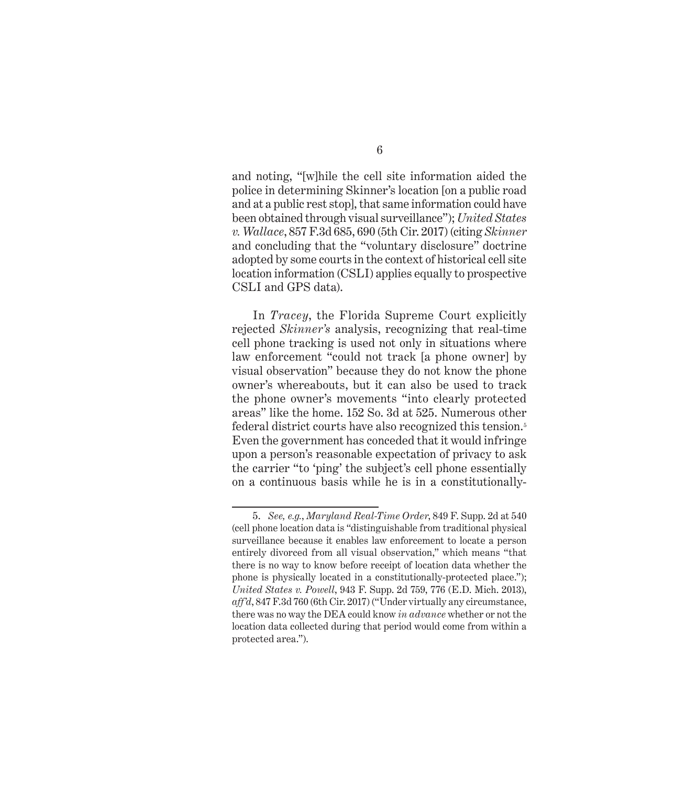and noting, "[w]hile the cell site information aided the police in determining Skinner's location [on a public road and at a public rest stop], that same information could have been obtained through visual surveillance"); *United States v. Wallace*, 857 F.3d 685, 690 (5th Cir. 2017) (citing *Skinner* and concluding that the "voluntary disclosure" doctrine adopted by some courts in the context of historical cell site location information (CSLI) applies equally to prospective CSLI and GPS data).

In *Tracey*, the Florida Supreme Court explicitly rejected *Skinner's* analysis, recognizing that real-time cell phone tracking is used not only in situations where law enforcement "could not track [a phone owner] by visual observation" because they do not know the phone owner's whereabouts, but it can also be used to track the phone owner's movements "into clearly protected areas" like the home. 152 So. 3d at 525. Numerous other federal district courts have also recognized this tension.5 Even the government has conceded that it would infringe upon a person's reasonable expectation of privacy to ask the carrier "to 'ping' the subject's cell phone essentially on a continuous basis while he is in a constitutionally-

<sup>5.</sup> *See, e.g.*, *Maryland Real-Time Order*, 849 F. Supp. 2d at 540 (cell phone location data is "distinguishable from traditional physical surveillance because it enables law enforcement to locate a person entirely divorced from all visual observation," which means "that there is no way to know before receipt of location data whether the phone is physically located in a constitutionally-protected place."); *United States v. Powell*, 943 F. Supp. 2d 759, 776 (E.D. Mich. 2013), *aff'd*, 847 F.3d 760 (6th Cir. 2017) ("Under virtually any circumstance, there was no way the DEA could know *in advance* whether or not the location data collected during that period would come from within a protected area.").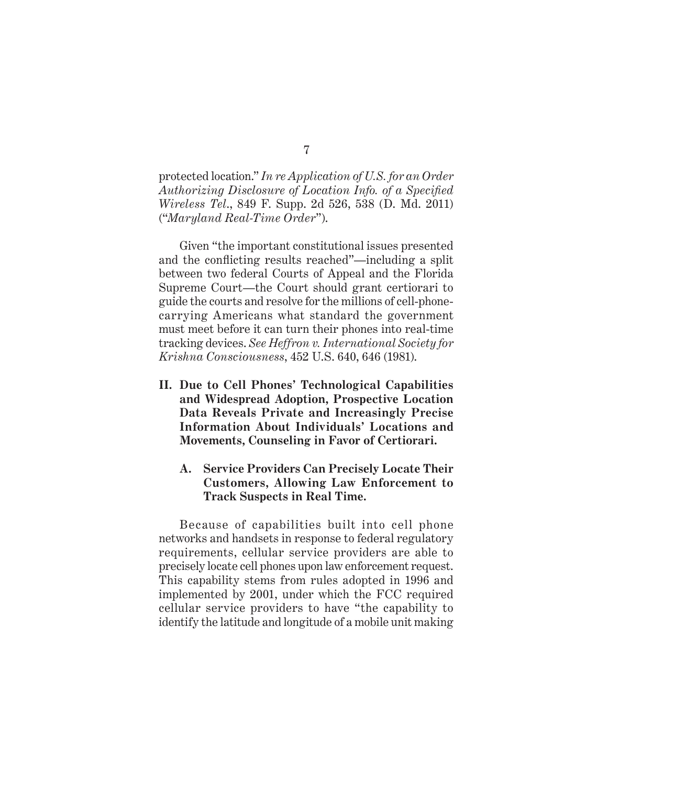protected location." *In re Application of U.S. for an Order Authorizing Disclosure of Location Info. of a Specified Wireless Tel*., 849 F. Supp. 2d 526, 538 (D. Md. 2011) ("*Maryland Real-Time Order*").

Given "the important constitutional issues presented and the conflicting results reached"—including a split between two federal Courts of Appeal and the Florida Supreme Court—the Court should grant certiorari to guide the courts and resolve for the millions of cell-phonecarrying Americans what standard the government must meet before it can turn their phones into real-time tracking devices. *See Heffron v. International Society for Krishna Consciousness*, 452 U.S. 640, 646 (1981).

- **II. Due to Cell Phones' Technological Capabilities and Widespread Adoption, Prospective Location Data Reveals Private and Increasingly Precise Information About Individuals' Locations and Movements, Counseling in Favor of Certiorari.**
	- **A. Service Providers Can Precisely Locate Their Customers, Allowing Law Enforcement to Track Suspects in Real Time.**

Because of capabilities built into cell phone networks and handsets in response to federal regulatory requirements, cellular service providers are able to precisely locate cell phones upon law enforcement request. This capability stems from rules adopted in 1996 and implemented by 2001, under which the FCC required cellular service providers to have "the capability to identify the latitude and longitude of a mobile unit making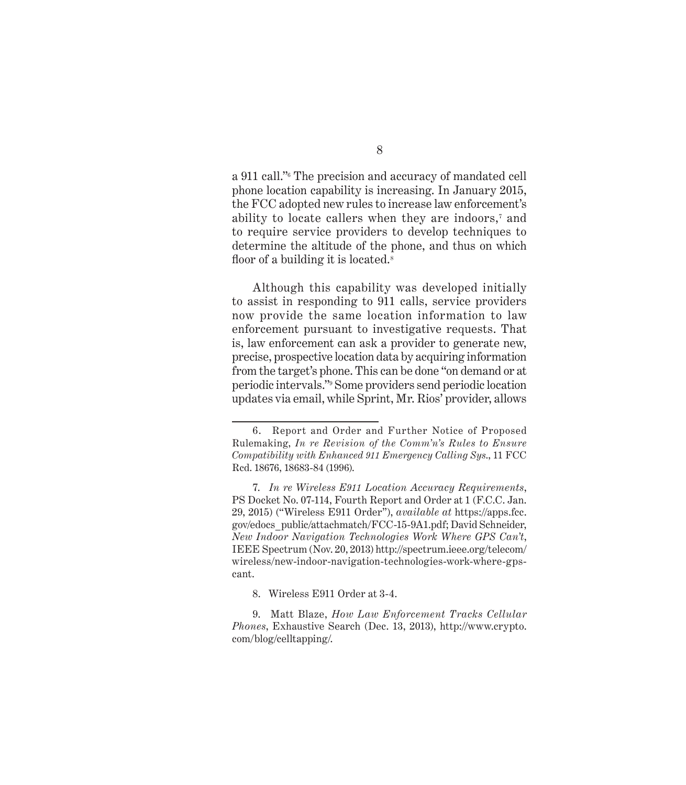a 911 call."<sup>6</sup> The precision and accuracy of mandated cell phone location capability is increasing. In January 2015, the FCC adopted new rules to increase law enforcement's ability to locate callers when they are indoors,<sup>7</sup> and to require service providers to develop techniques to determine the altitude of the phone, and thus on which floor of a building it is located.<sup>8</sup>

Although this capability was developed initially to assist in responding to 911 calls, service providers now provide the same location information to law enforcement pursuant to investigative requests. That is, law enforcement can ask a provider to generate new, precise, prospective location data by acquiring information from the target's phone. This can be done "on demand or at periodic intervals."9 Some providers send periodic location updates via email, while Sprint, Mr. Rios' provider, allows

<sup>6.</sup> Report and Order and Further Notice of Proposed Rulemaking, *In re Revision of the Comm'n's Rules to Ensure Compatibility with Enhanced 911 Emergency Calling Sys*., 11 FCC Rcd. 18676, 18683-84 (1996).

<sup>7.</sup> *In re Wireless E911 Location Accuracy Requirements*, PS Docket No. 07-114, Fourth Report and Order at 1 (F.C.C. Jan. 29, 2015) ("Wireless E911 Order"), *available at* https://apps.fcc. gov/edocs\_public/attachmatch/FCC-15-9A1.pdf; David Schneider, *New Indoor Navigation Technologies Work Where GPS Can't*, IEEE Spectrum (Nov. 20, 2013) http://spectrum.ieee.org/telecom/ wireless/new-indoor-navigation-technologies-work-where-gpscant.

<sup>8.</sup> Wireless E911 Order at 3-4.

<sup>9.</sup> Matt Blaze, *How Law Enforcement Tracks Cellular Phones*, Exhaustive Search (Dec. 13, 2013), http://www.crypto. com/blog/celltapping/.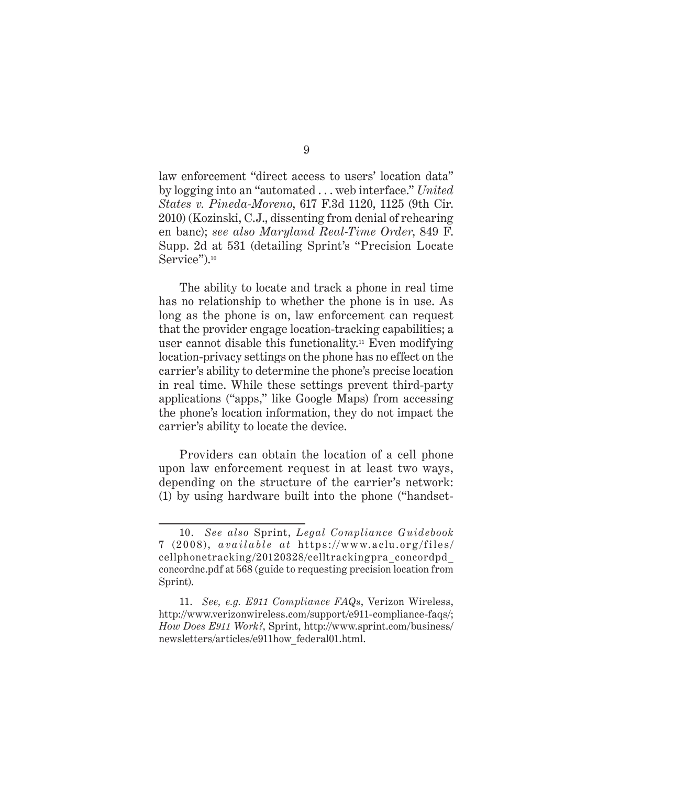law enforcement "direct access to users' location data" by logging into an "automated . . . web interface." *United States v. Pineda-Moreno*, 617 F.3d 1120, 1125 (9th Cir. 2010) (Kozinski, C.J., dissenting from denial of rehearing en banc); *see also Maryland Real-Time Order*, 849 F. Supp. 2d at 531 (detailing Sprint's "Precision Locate Service").<sup>10</sup>

The ability to locate and track a phone in real time has no relationship to whether the phone is in use. As long as the phone is on, law enforcement can request that the provider engage location-tracking capabilities; a user cannot disable this functionality.<sup>11</sup> Even modifying location-privacy settings on the phone has no effect on the carrier's ability to determine the phone's precise location in real time. While these settings prevent third-party applications ("apps," like Google Maps) from accessing the phone's location information, they do not impact the carrier's ability to locate the device.

Providers can obtain the location of a cell phone upon law enforcement request in at least two ways, depending on the structure of the carrier's network: (1) by using hardware built into the phone ("handset-

<sup>10.</sup> *See also* Sprint, *Legal Compliance Guidebook* 7 (2008), *available at* https://www.aclu.org/files/ cellphonetracking/20120328/celltrackingpra\_concordpd\_ concordnc.pdf at 568 (guide to requesting precision location from Sprint).

<sup>11.</sup> *See, e.g. E911 Compliance FAQs*, Verizon Wireless, http://www.verizonwireless.com/support/e911-compliance-faqs/; *How Does E911 Work?*, Sprint, http://www.sprint.com/business/ newsletters/articles/e911how\_federal01.html.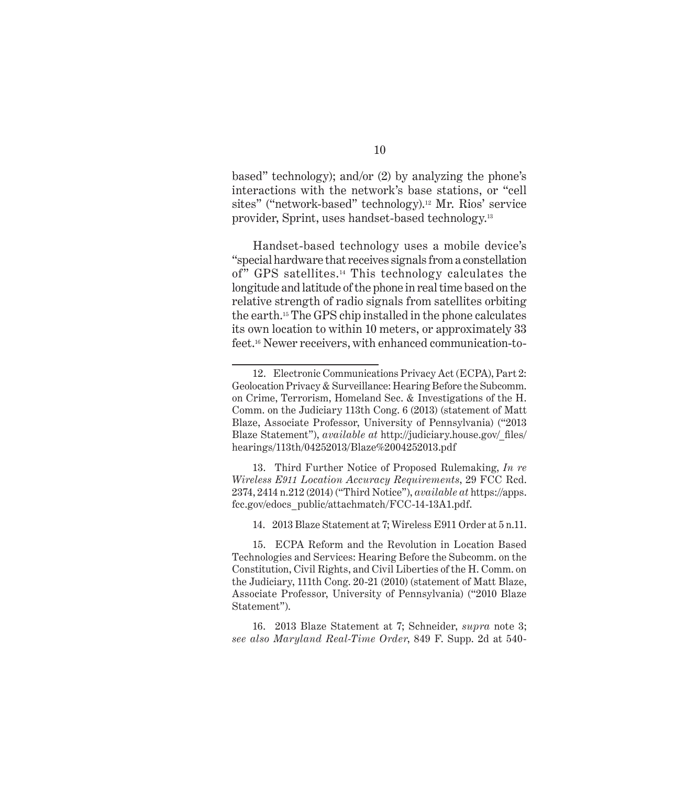based" technology); and/or (2) by analyzing the phone's interactions with the network's base stations, or "cell sites" ("network-based" technology).<sup>12</sup> Mr. Rios' service provider, Sprint, uses handset-based technology.<sup>13</sup>

Handset-based technology uses a mobile device's "special hardware that receives signals from a constellation of" GPS satellites.14 This technology calculates the longitude and latitude of the phone in real time based on the relative strength of radio signals from satellites orbiting the earth.15 The GPS chip installed in the phone calculates its own location to within 10 meters, or approximately 33 feet.16 Newer receivers, with enhanced communication-to-

13. Third Further Notice of Proposed Rulemaking, *In re Wireless E911 Location Accuracy Requirements*, 29 FCC Rcd. 2374, 2414 n.212 (2014) ("Third Notice"), *available at* https://apps. fcc.gov/edocs\_public/attachmatch/FCC-14-13A1.pdf.

14. 2013 Blaze Statement at 7; Wireless E911 Order at 5 n.11.

<sup>12.</sup> Electronic Communications Privacy Act (ECPA), Part 2: Geolocation Privacy & Surveillance: Hearing Before the Subcomm. on Crime, Terrorism, Homeland Sec. & Investigations of the H. Comm. on the Judiciary 113th Cong. 6 (2013) (statement of Matt Blaze, Associate Professor, University of Pennsylvania) ("2013 Blaze Statement"), *available at* http://judiciary.house.gov/\_files/ hearings/113th/04252013/Blaze%2004252013.pdf

<sup>15.</sup> ECPA Reform and the Revolution in Location Based Technologies and Services: Hearing Before the Subcomm. on the Constitution, Civil Rights, and Civil Liberties of the H. Comm. on the Judiciary, 111th Cong. 20-21 (2010) (statement of Matt Blaze, Associate Professor, University of Pennsylvania) ("2010 Blaze Statement").

<sup>16. 2013</sup> Blaze Statement at 7; Schneider, *supra* note 3; *see also Maryland Real-Time Order*, 849 F. Supp. 2d at 540-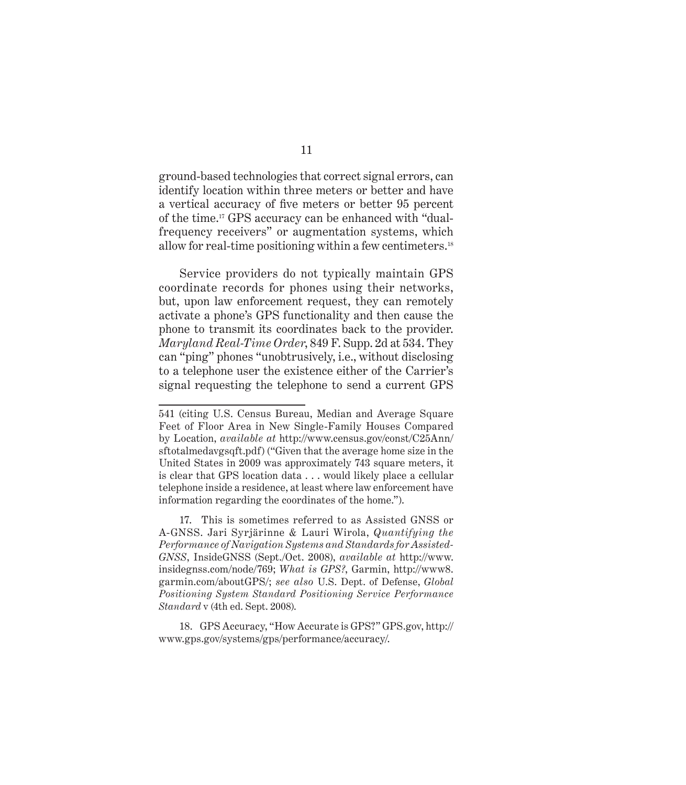ground-based technologies that correct signal errors, can identify location within three meters or better and have a vertical accuracy of five meters or better 95 percent of the time.17 GPS accuracy can be enhanced with "dualfrequency receivers" or augmentation systems, which allow for real-time positioning within a few centimeters.<sup>18</sup>

Service providers do not typically maintain GPS coordinate records for phones using their networks, but, upon law enforcement request, they can remotely activate a phone's GPS functionality and then cause the phone to transmit its coordinates back to the provider. *Maryland Real-Time Order*, 849 F. Supp. 2d at 534. They can "ping" phones "unobtrusively, i.e., without disclosing to a telephone user the existence either of the Carrier's signal requesting the telephone to send a current GPS

18. GPS Accuracy, "How Accurate is GPS?" GPS.gov, http:// www.gps.gov/systems/gps/performance/accuracy/.

<sup>541 (</sup>citing U.S. Census Bureau, Median and Average Square Feet of Floor Area in New Single-Family Houses Compared by Location, *available at* http://www.census.gov/const/C25Ann/ sftotalmedavgsqft.pdf) ("Given that the average home size in the United States in 2009 was approximately 743 square meters, it is clear that GPS location data . . . would likely place a cellular telephone inside a residence, at least where law enforcement have information regarding the coordinates of the home.").

<sup>17.</sup> This is sometimes referred to as Assisted GNSS or A-GNSS. Jari Syrjärinne & Lauri Wirola, *Quantifying the Performance of Navigation Systems and Standards for Assisted-GNSS*, InsideGNSS (Sept./Oct. 2008), *available at* http://www. insidegnss.com/node/769; *What is GPS?*, Garmin, http://www8. garmin.com/aboutGPS/; *see also* U.S. Dept. of Defense, *Global Positioning System Standard Positioning Service Performance Standard* v (4th ed. Sept. 2008).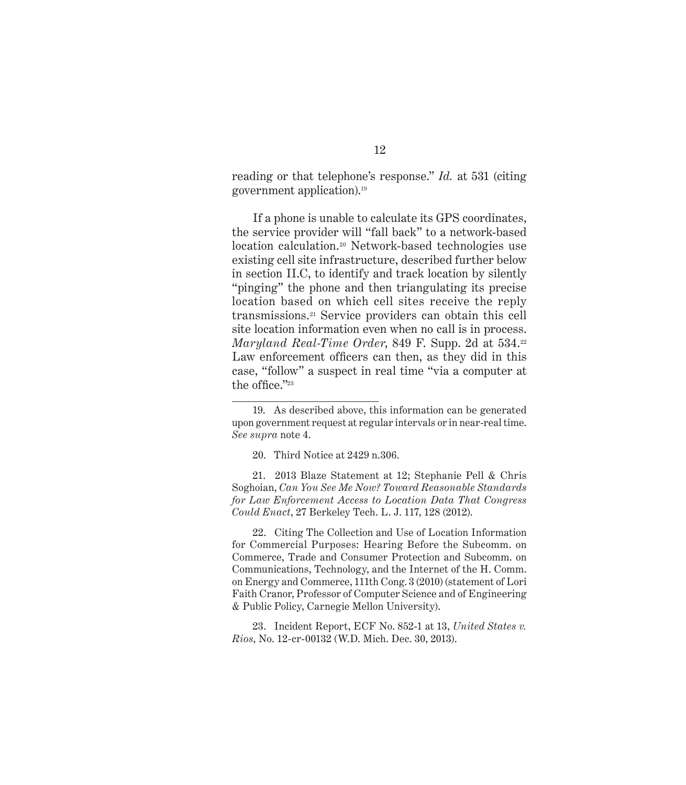reading or that telephone's response." *Id.* at 531 (citing government application).19

If a phone is unable to calculate its GPS coordinates, the service provider will "fall back" to a network-based location calculation.20 Network-based technologies use existing cell site infrastructure, described further below in section II.C, to identify and track location by silently "pinging" the phone and then triangulating its precise location based on which cell sites receive the reply transmissions.21 Service providers can obtain this cell site location information even when no call is in process. *Maryland Real-Time Order*, 849 F. Supp. 2d at 534.<sup>22</sup> Law enforcement officers can then, as they did in this case, "follow" a suspect in real time "via a computer at the office."<sup>23</sup>

21. 2013 Blaze Statement at 12; Stephanie Pell & Chris Soghoian, *Can You See Me Now? Toward Reasonable Standards for Law Enforcement Access to Location Data That Congress Could Enact*, 27 Berkeley Tech. L. J. 117, 128 (2012).

22. Citing The Collection and Use of Location Information for Commercial Purposes: Hearing Before the Subcomm. on Commerce, Trade and Consumer Protection and Subcomm. on Communications, Technology, and the Internet of the H. Comm. on Energy and Commerce, 111th Cong. 3 (2010) (statement of Lori Faith Cranor, Professor of Computer Science and of Engineering & Public Policy, Carnegie Mellon University).

23. Incident Report, ECF No. 852-1 at 13, *United States v. Rios*, No. 12-cr-00132 (W.D. Mich. Dec. 30, 2013).

<sup>19.</sup> As described above, this information can be generated upon government request at regular intervals or in near-real time. *See supra* note 4.

<sup>20.</sup> Third Notice at 2429 n.306.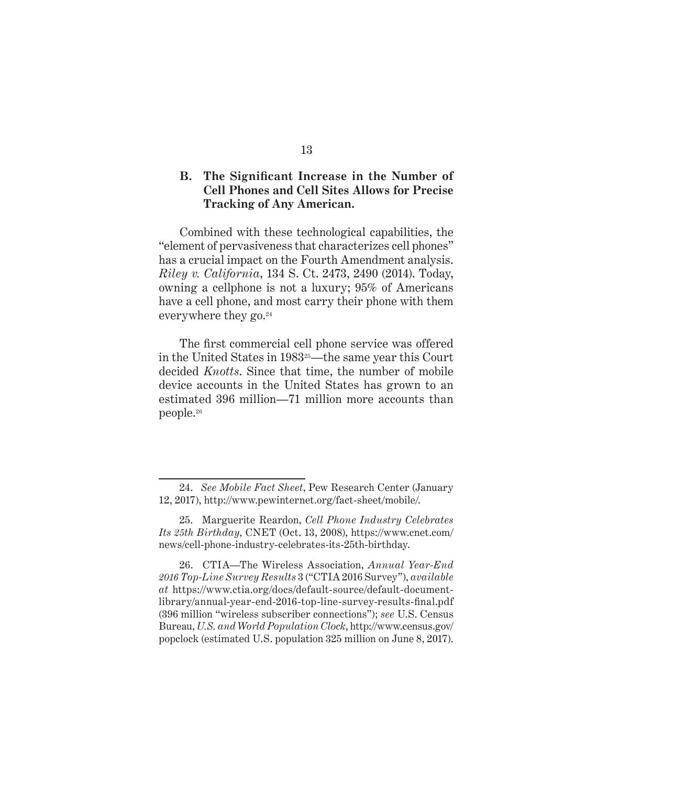### **B. The Significant Increase in the Number of Cell Phones and Cell Sites Allows for Precise Tracking of Any American.**

Combined with these technological capabilities, the "element of pervasiveness that characterizes cell phones" has a crucial impact on the Fourth Amendment analysis. *Riley v. California*, 134 S. Ct. 2473, 2490 (2014). Today, owning a cellphone is not a luxury; 95% of Americans have a cell phone, and most carry their phone with them everywhere they go.<sup>24</sup>

The first commercial cell phone service was offered in the United States in 198325—the same year this Court decided *Knotts*. Since that time, the number of mobile device accounts in the United States has grown to an estimated 396 million—71 million more accounts than people.<sup>26</sup>

<sup>24.</sup> *See Mobile Fact Sheet*, Pew Research Center (January 12, 2017), http://www.pewinternet.org/fact-sheet/mobile/.

<sup>25.</sup> Marguerite Reardon, *Cell Phone Industry Celebrates Its 25th Birthday*, CNET (Oct. 13, 2008), https://www.cnet.com/ news/cell-phone-industry-celebrates-its-25th-birthday.

<sup>26.</sup> CTIA—The Wireless Association, *Annual Year-End 2016 Top-Line Survey Results* 3 ("CTIA 2016 Survey"), *available at* https://www.ctia.org/docs/default-source/default-documentlibrary/annual-year-end-2016-top-line-survey-results-final.pdf (396 million "wireless subscriber connections"); *see* U.S. Census Bureau, *U.S. and World Population Clock*, http://www.census.gov/ popclock (estimated U.S. population 325 million on June 8, 2017).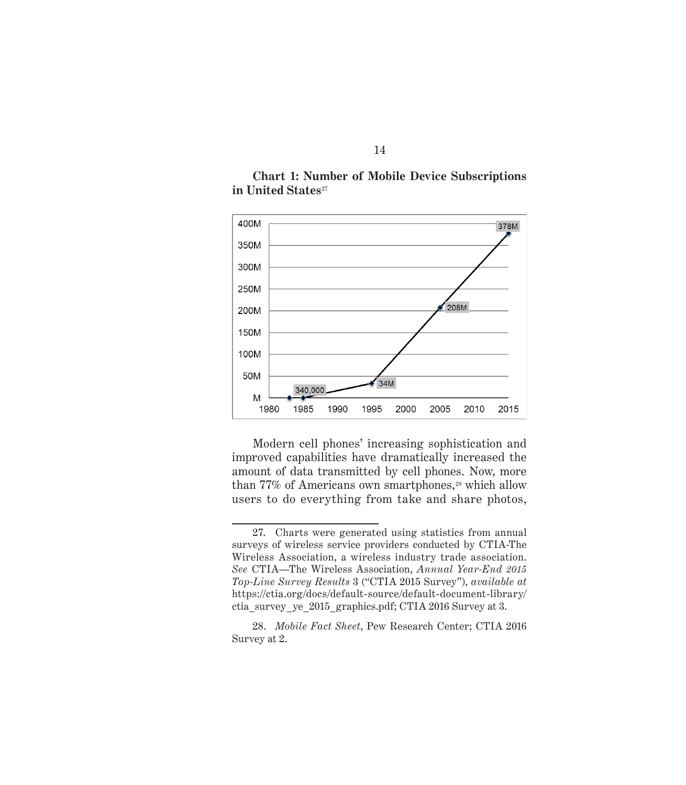

**Chart 1: Number of Mobile Device Subscriptions in United States**<sup>27</sup>

Modern cell phones' increasing sophistication and improved capabilities have dramatically increased the amount of data transmitted by cell phones. Now, more than  $77\%$  of Americans own smartphones,<sup>28</sup> which allow users to do everything from take and share photos,

<sup>27.</sup> Charts were generated using statistics from annual surveys of wireless service providers conducted by CTIA-The Wireless Association, a wireless industry trade association. *See* CTIA—The Wireless Association, *Annual Year-End 2015 Top-Line Survey Results* 3 ("CTIA 2015 Survey"), *available at* https://ctia.org/docs/default-source/default-document-library/ ctia\_survey\_ye\_2015\_graphics.pdf; CTIA 2016 Survey at 3.

<sup>28.</sup> *Mobile Fact Sheet*, Pew Research Center; CTIA 2016 Survey at 2.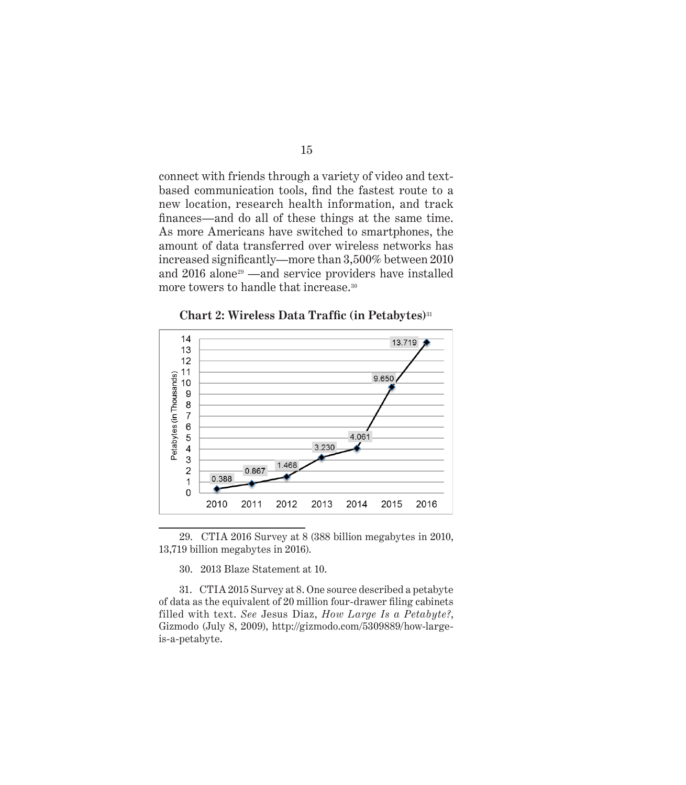connect with friends through a variety of video and textbased communication tools, find the fastest route to a new location, research health information, and track finances—and do all of these things at the same time. As more Americans have switched to smartphones, the amount of data transferred over wireless networks has increased significantly—more than 3,500% between 2010 and 2016 alone29 —and service providers have installed more towers to handle that increase.<sup>30</sup>

**Chart 2: Wireless Data Traffic (in Petabytes)**<sup>31</sup>



<sup>29.</sup> CTIA 2016 Survey at 8 (388 billion megabytes in 2010, 13,719 billion megabytes in 2016).

30. 2013 Blaze Statement at 10.

31. CTIA 2015 Survey at 8. One source described a petabyte of data as the equivalent of 20 million four-drawer filing cabinets filled with text. *See* Jesus Diaz, *How Large Is a Petabyte?*, Gizmodo (July 8, 2009), http://gizmodo.com/5309889/how-largeis-a-petabyte.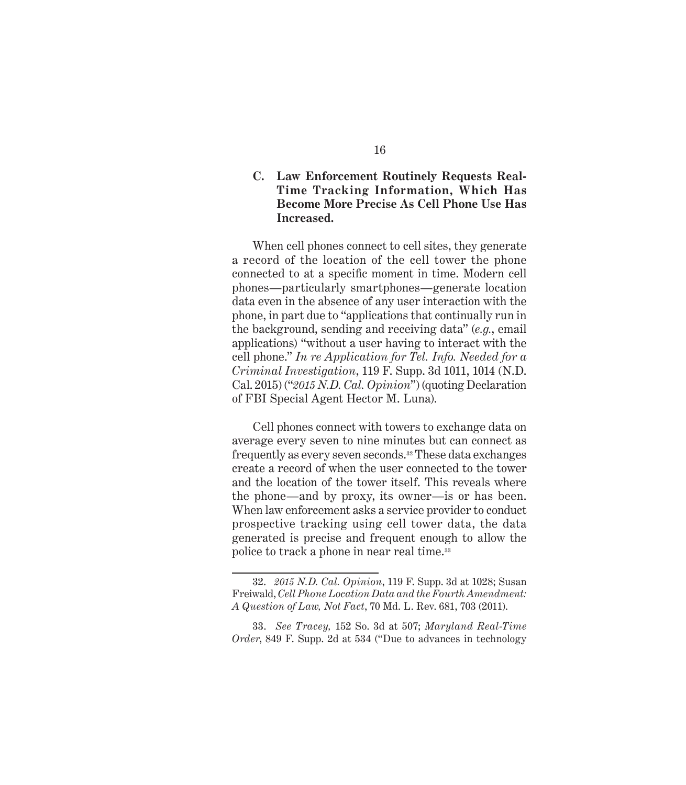### **C. Law Enforcement Routinely Requests Real-Time Tracking Information, Which Has Become More Precise As Cell Phone Use Has Increased.**

When cell phones connect to cell sites, they generate a record of the location of the cell tower the phone connected to at a specific moment in time. Modern cell phones—particularly smartphones—generate location data even in the absence of any user interaction with the phone, in part due to "applications that continually run in the background, sending and receiving data" (*e.g.*, email applications) "without a user having to interact with the cell phone." *In re Application for Tel. Info. Needed for a Criminal Investigation*, 119 F. Supp. 3d 1011, 1014 (N.D. Cal. 2015) ("*2015 N.D. Cal. Opinion*") (quoting Declaration of FBI Special Agent Hector M. Luna).

Cell phones connect with towers to exchange data on average every seven to nine minutes but can connect as frequently as every seven seconds.32 These data exchanges create a record of when the user connected to the tower and the location of the tower itself. This reveals where the phone—and by proxy, its owner—is or has been. When law enforcement asks a service provider to conduct prospective tracking using cell tower data, the data generated is precise and frequent enough to allow the police to track a phone in near real time.<sup>33</sup>

<sup>32.</sup> *2015 N.D. Cal. Opinion*, 119 F. Supp. 3d at 1028; Susan Freiwald, *Cell Phone Location Data and the Fourth Amendment: A Question of Law, Not Fact*, 70 Md. L. Rev. 681, 703 (2011).

<sup>33.</sup> *See Tracey,* 152 So. 3d at 507; *Maryland Real-Time Order*, 849 F. Supp. 2d at 534 ("Due to advances in technology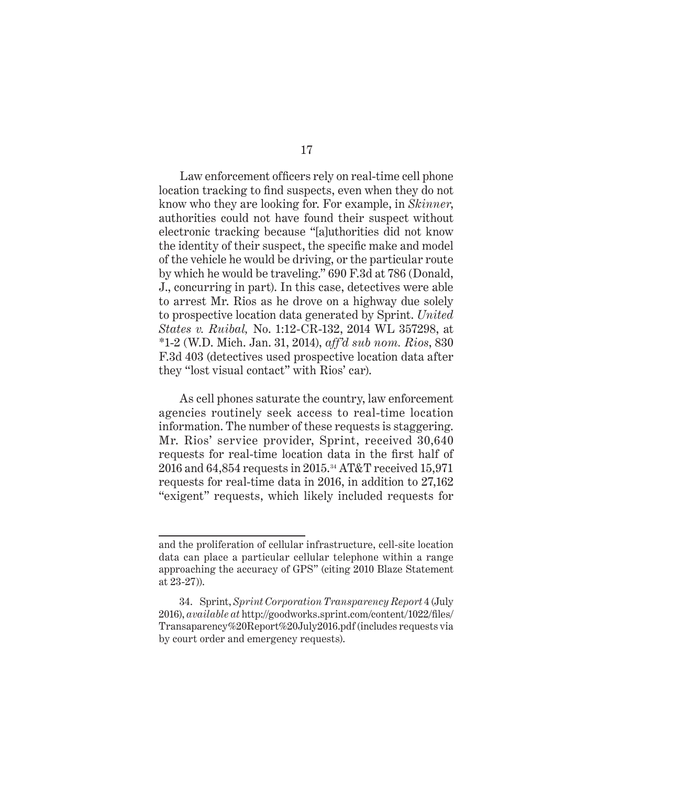Law enforcement officers rely on real-time cell phone location tracking to find suspects, even when they do not know who they are looking for. For example, in *Skinner*, authorities could not have found their suspect without electronic tracking because "[a]uthorities did not know the identity of their suspect, the specific make and model of the vehicle he would be driving, or the particular route by which he would be traveling." 690 F.3d at 786 (Donald, J., concurring in part). In this case, detectives were able to arrest Mr. Rios as he drove on a highway due solely to prospective location data generated by Sprint. *United States v. Ruibal,* No. 1:12-CR-132, 2014 WL 357298, at \*1-2 (W.D. Mich. Jan. 31, 2014), *aff'd sub nom. Rios*, 830 F.3d 403 (detectives used prospective location data after they "lost visual contact" with Rios' car).

As cell phones saturate the country, law enforcement agencies routinely seek access to real-time location information. The number of these requests is staggering. Mr. Rios' service provider, Sprint, received 30,640 requests for real-time location data in the first half of 2016 and 64,854 requests in 2015.34 AT&T received 15,971 requests for real-time data in 2016, in addition to 27,162 "exigent" requests, which likely included requests for

and the proliferation of cellular infrastructure, cell-site location data can place a particular cellular telephone within a range approaching the accuracy of GPS" (citing 2010 Blaze Statement at 23-27)).

<sup>34.</sup> Sprint, *Sprint Corporation Transparency Report* 4 (July 2016), *available at* http://goodworks.sprint.com/content/1022/files/ Transaparency%20Report%20July2016.pdf (includes requests via by court order and emergency requests).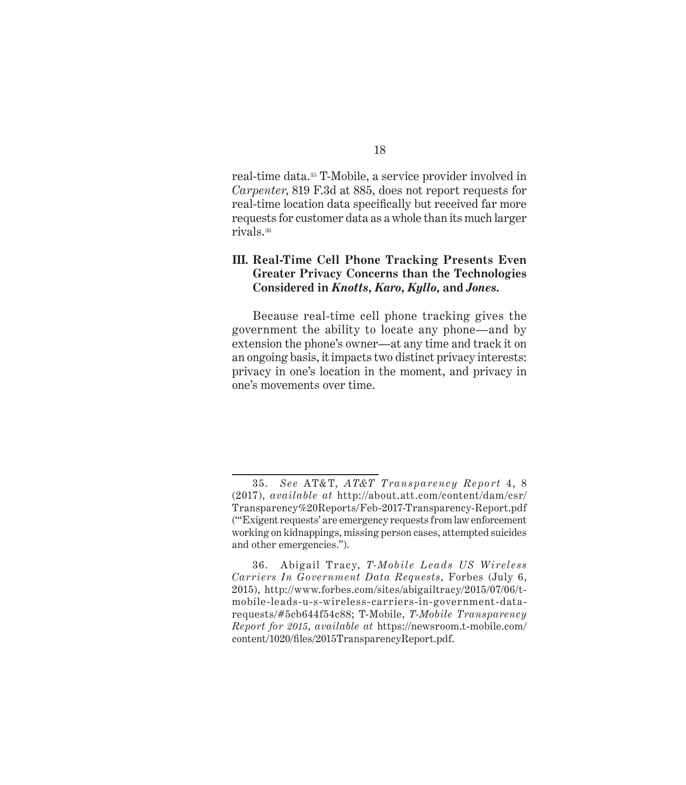real-time data.35 T-Mobile, a service provider involved in *Carpenter*, 819 F.3d at 885, does not report requests for real-time location data specifically but received far more requests for customer data as a whole than its much larger rivals.<sup>36</sup>

### **III. Real-Time Cell Phone Tracking Presents Even Greater Privacy Concerns than the Technologies Considered in** *Knotts***,** *Karo***,** *Kyllo***, and** *Jones.*

Because real-time cell phone tracking gives the government the ability to locate any phone—and by extension the phone's owner—at any time and track it on an ongoing basis, it impacts two distinct privacy interests: privacy in one's location in the moment, and privacy in one's movements over time.

<sup>35.</sup> *See* AT&T, *AT&T Transparency Repor t* 4, 8 (2017), *available at* http://about.att.com/content/dam/csr/ Transparency%20Reports/Feb-2017-Transparency-Report.pdf ("'Exigent requests' are emergency requests from law enforcement working on kidnappings, missing person cases, attempted suicides and other emergencies.").

<sup>36.</sup> Abigail Tracy, *T-Mobile Lea ds US Wireless Carriers In Government Data Requests*, Forbes (July 6, 2015), http://www.forbes.com/sites/abigailtracy/2015/07/06/tmobile-leads-u-s-wireless-carriers-in-government-datarequests/#5cb644f54c88; T-Mobile, *T-Mobile Transparency Report for 2015*, *available at* https://newsroom.t-mobile.com/ content/1020/files/2015TransparencyReport.pdf.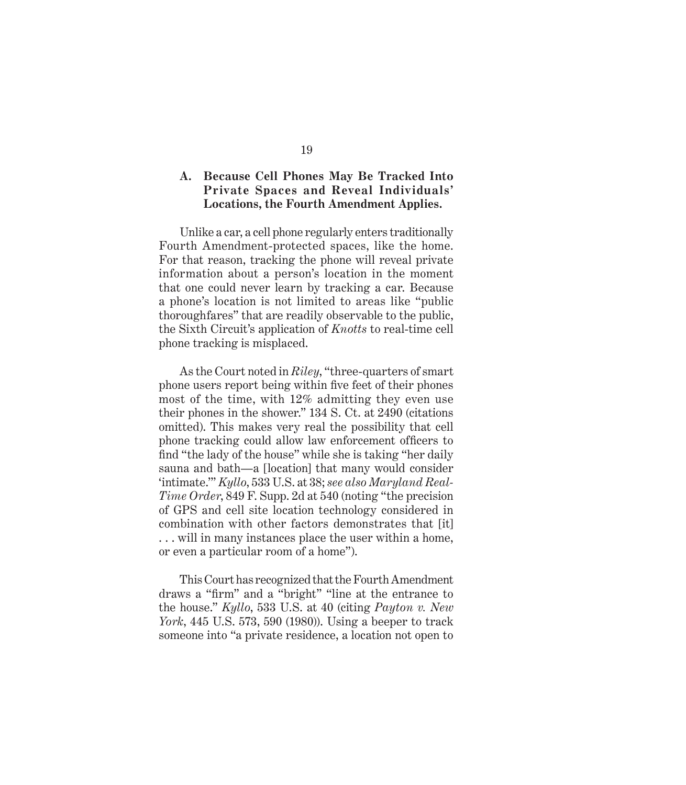#### **A. Because Cell Phones May Be Tracked Into Private Spaces and Reveal Individuals' Locations, the Fourth Amendment Applies.**

Unlike a car, a cell phone regularly enters traditionally Fourth Amendment-protected spaces, like the home. For that reason, tracking the phone will reveal private information about a person's location in the moment that one could never learn by tracking a car. Because a phone's location is not limited to areas like "public thoroughfares" that are readily observable to the public, the Sixth Circuit's application of *Knotts* to real-time cell phone tracking is misplaced.

As the Court noted in *Riley*, "three-quarters of smart phone users report being within five feet of their phones most of the time, with 12% admitting they even use their phones in the shower." 134 S. Ct. at 2490 (citations omitted). This makes very real the possibility that cell phone tracking could allow law enforcement officers to find "the lady of the house" while she is taking "her daily sauna and bath—a [location] that many would consider 'intimate.'" *Kyllo*, 533 U.S. at 38; *see also Maryland Real-Time Order*, 849 F. Supp. 2d at 540 (noting "the precision of GPS and cell site location technology considered in combination with other factors demonstrates that [it] . . . will in many instances place the user within a home, or even a particular room of a home").

This Court has recognized that the Fourth Amendment draws a "firm" and a "bright" "line at the entrance to the house." *Kyllo*, 533 U.S. at 40 (citing *Payton v. New York*, 445 U.S. 573, 590 (1980)). Using a beeper to track someone into "a private residence, a location not open to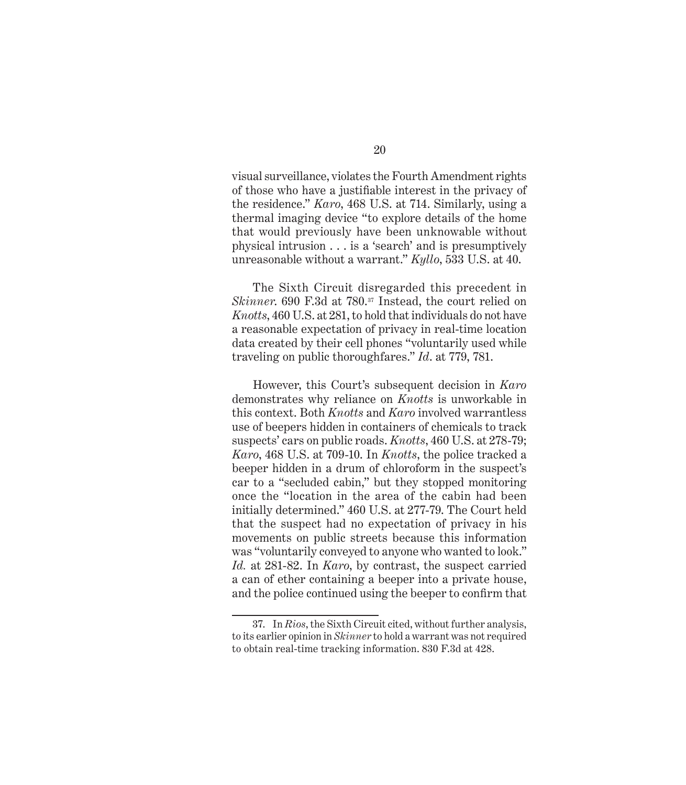visual surveillance, violates the Fourth Amendment rights of those who have a justifiable interest in the privacy of the residence." *Karo*, 468 U.S. at 714. Similarly, using a thermal imaging device "to explore details of the home that would previously have been unknowable without physical intrusion . . . is a 'search' and is presumptively unreasonable without a warrant." *Kyllo*, 533 U.S. at 40.

The Sixth Circuit disregarded this precedent in *Skinner*. 690 F.3d at 780.<sup>37</sup> Instead, the court relied on *Knotts*, 460 U.S. at 281, to hold that individuals do not have a reasonable expectation of privacy in real-time location data created by their cell phones "voluntarily used while traveling on public thoroughfares." *Id*. at 779, 781.

However, this Court's subsequent decision in *Karo*  demonstrates why reliance on *Knotts* is unworkable in this context. Both *Knotts* and *Karo* involved warrantless use of beepers hidden in containers of chemicals to track suspects' cars on public roads. *Knotts*, 460 U.S. at 278-79; *Karo*, 468 U.S. at 709-10. In *Knotts*, the police tracked a beeper hidden in a drum of chloroform in the suspect's car to a "secluded cabin," but they stopped monitoring once the "location in the area of the cabin had been initially determined." 460 U.S. at 277-79. The Court held that the suspect had no expectation of privacy in his movements on public streets because this information was "voluntarily conveyed to anyone who wanted to look." *Id.* at 281-82. In *Karo*, by contrast, the suspect carried a can of ether containing a beeper into a private house, and the police continued using the beeper to confirm that

<sup>37.</sup> In *Rios*, the Sixth Circuit cited, without further analysis, to its earlier opinion in *Skinner* to hold a warrant was not required to obtain real-time tracking information. 830 F.3d at 428.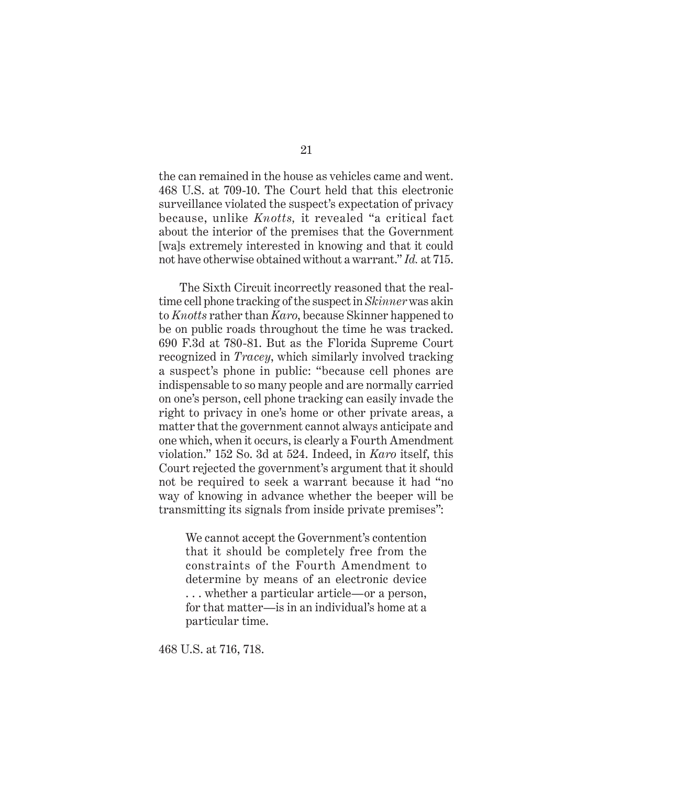the can remained in the house as vehicles came and went. 468 U.S. at 709-10. The Court held that this electronic surveillance violated the suspect's expectation of privacy because, unlike *Knotts,* it revealed "a critical fact about the interior of the premises that the Government [wa]s extremely interested in knowing and that it could not have otherwise obtained without a warrant." *Id.* at 715.

The Sixth Circuit incorrectly reasoned that the realtime cell phone tracking of the suspect in *Skinner* was akin to *Knotts* rather than *Karo*, because Skinner happened to be on public roads throughout the time he was tracked. 690 F.3d at 780-81. But as the Florida Supreme Court recognized in *Tracey*, which similarly involved tracking a suspect's phone in public: "because cell phones are indispensable to so many people and are normally carried on one's person, cell phone tracking can easily invade the right to privacy in one's home or other private areas, a matter that the government cannot always anticipate and one which, when it occurs, is clearly a Fourth Amendment violation." 152 So. 3d at 524. Indeed, in *Karo* itself, this Court rejected the government's argument that it should not be required to seek a warrant because it had "no way of knowing in advance whether the beeper will be transmitting its signals from inside private premises":

We cannot accept the Government's contention that it should be completely free from the constraints of the Fourth Amendment to determine by means of an electronic device . . . whether a particular article—or a person, for that matter—is in an individual's home at a particular time.

468 U.S. at 716, 718.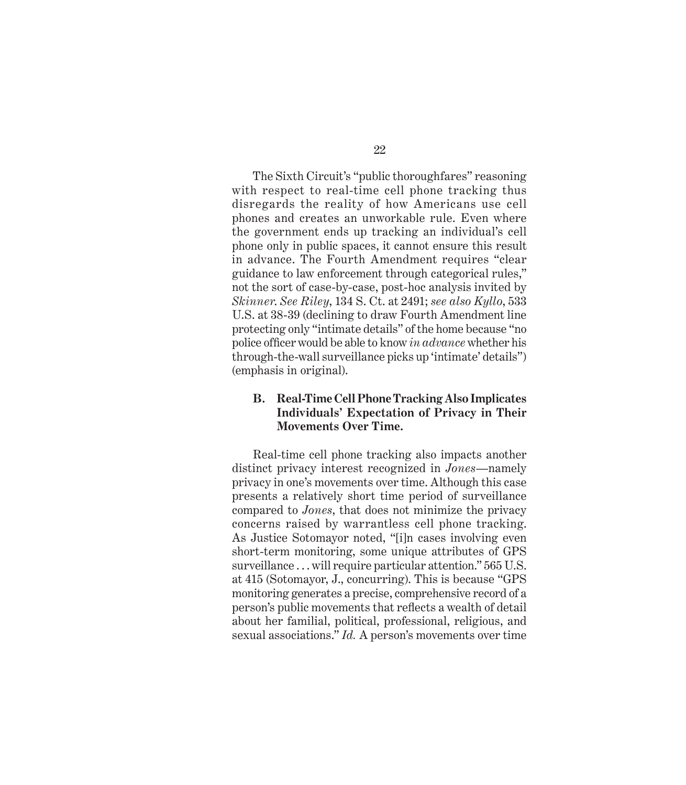The Sixth Circuit's "public thoroughfares" reasoning with respect to real-time cell phone tracking thus disregards the reality of how Americans use cell phones and creates an unworkable rule. Even where the government ends up tracking an individual's cell phone only in public spaces, it cannot ensure this result in advance. The Fourth Amendment requires "clear guidance to law enforcement through categorical rules," not the sort of case-by-case, post-hoc analysis invited by *Skinner*. *See Riley*, 134 S. Ct. at 2491; *see also Kyllo*, 533 U.S. at 38-39 (declining to draw Fourth Amendment line protecting only "intimate details" of the home because "no police officer would be able to know *in advance* whether his through-the-wall surveillance picks up 'intimate' details") (emphasis in original).

### **B. Real-Time Cell Phone Tracking Also Implicates Individuals' Expectation of Privacy in Their Movements Over Time.**

Real-time cell phone tracking also impacts another distinct privacy interest recognized in *Jones*—namely privacy in one's movements over time. Although this case presents a relatively short time period of surveillance compared to *Jones*, that does not minimize the privacy concerns raised by warrantless cell phone tracking. As Justice Sotomayor noted, "[i]n cases involving even short-term monitoring, some unique attributes of GPS surveillance . . . will require particular attention." 565 U.S. at 415 (Sotomayor, J., concurring). This is because "GPS monitoring generates a precise, comprehensive record of a person's public movements that reflects a wealth of detail about her familial, political, professional, religious, and sexual associations." *Id.* A person's movements over time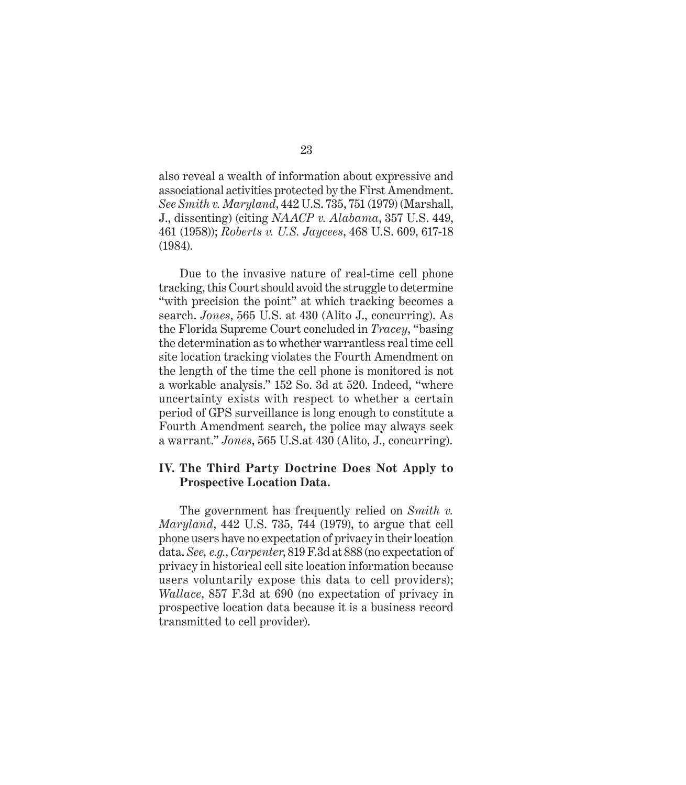also reveal a wealth of information about expressive and associational activities protected by the First Amendment. *See Smith v. Maryland*, 442 U.S. 735, 751 (1979) (Marshall, J., dissenting) (citing *NAACP v. Alabama*, 357 U.S. 449, 461 (1958)); *Roberts v. U.S. Jaycees*, 468 U.S. 609, 617-18 (1984).

Due to the invasive nature of real-time cell phone tracking, this Court should avoid the struggle to determine "with precision the point" at which tracking becomes a search. *Jones*, 565 U.S. at 430 (Alito J., concurring). As the Florida Supreme Court concluded in *Tracey*, "basing the determination as to whether warrantless real time cell site location tracking violates the Fourth Amendment on the length of the time the cell phone is monitored is not a workable analysis." 152 So. 3d at 520. Indeed, "where uncertainty exists with respect to whether a certain period of GPS surveillance is long enough to constitute a Fourth Amendment search, the police may always seek a warrant." *Jones*, 565 U.S.at 430 (Alito, J., concurring).

#### **IV. The Third Party Doctrine Does Not Apply to Prospective Location Data.**

The government has frequently relied on *Smith v. Maryland*, 442 U.S. 735, 744 (1979), to argue that cell phone users have no expectation of privacy in their location data. *See, e.g.*, *Carpenter*, 819 F.3d at 888 (no expectation of privacy in historical cell site location information because users voluntarily expose this data to cell providers); *Wallace*, 857 F.3d at 690 (no expectation of privacy in prospective location data because it is a business record transmitted to cell provider).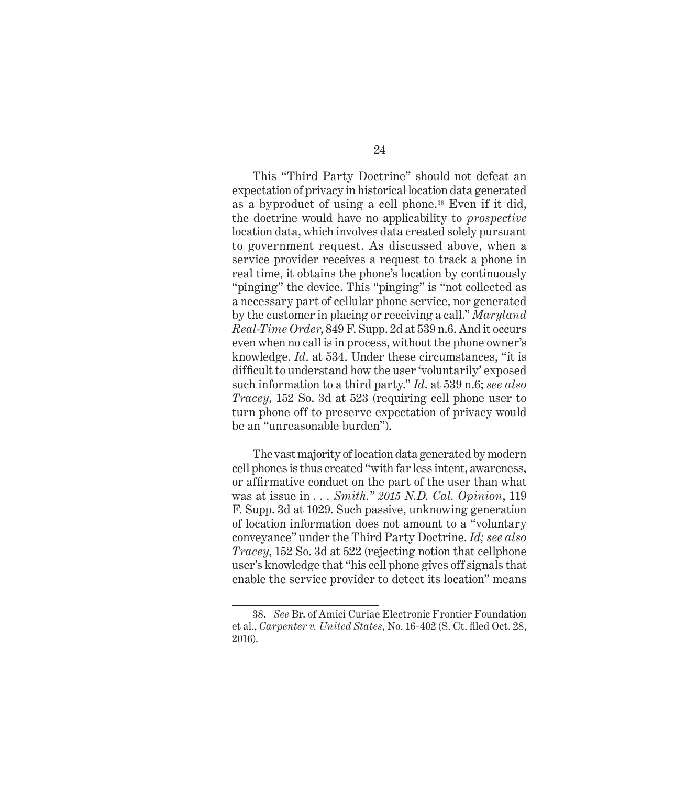This "Third Party Doctrine" should not defeat an expectation of privacy in historical location data generated as a byproduct of using a cell phone.<sup>38</sup> Even if it did, the doctrine would have no applicability to *prospective*  location data, which involves data created solely pursuant to government request. As discussed above, when a service provider receives a request to track a phone in real time, it obtains the phone's location by continuously "pinging" the device. This "pinging" is "not collected as a necessary part of cellular phone service, nor generated by the customer in placing or receiving a call." *Maryland Real-Time Order*, 849 F. Supp. 2d at 539 n.6. And it occurs even when no call is in process, without the phone owner's knowledge. *Id*. at 534. Under these circumstances, "it is difficult to understand how the user 'voluntarily' exposed such information to a third party." *Id*. at 539 n.6; *see also Tracey*, 152 So. 3d at 523 (requiring cell phone user to turn phone off to preserve expectation of privacy would be an "unreasonable burden").

The vast majority of location data generated by modern cell phones is thus created "with far less intent, awareness, or affirmative conduct on the part of the user than what was at issue in *. . . Smith." 2015 N.D. Cal. Opinion*, 119 F. Supp. 3d at 1029. Such passive, unknowing generation of location information does not amount to a "voluntary conveyance" under the Third Party Doctrine. *Id; see also Tracey*, 152 So. 3d at 522 (rejecting notion that cellphone user's knowledge that "his cell phone gives off signals that enable the service provider to detect its location" means

<sup>38.</sup> *See* Br. of Amici Curiae Electronic Frontier Foundation et al., *Carpenter v. United States*, No. 16-402 (S. Ct. filed Oct. 28, 2016).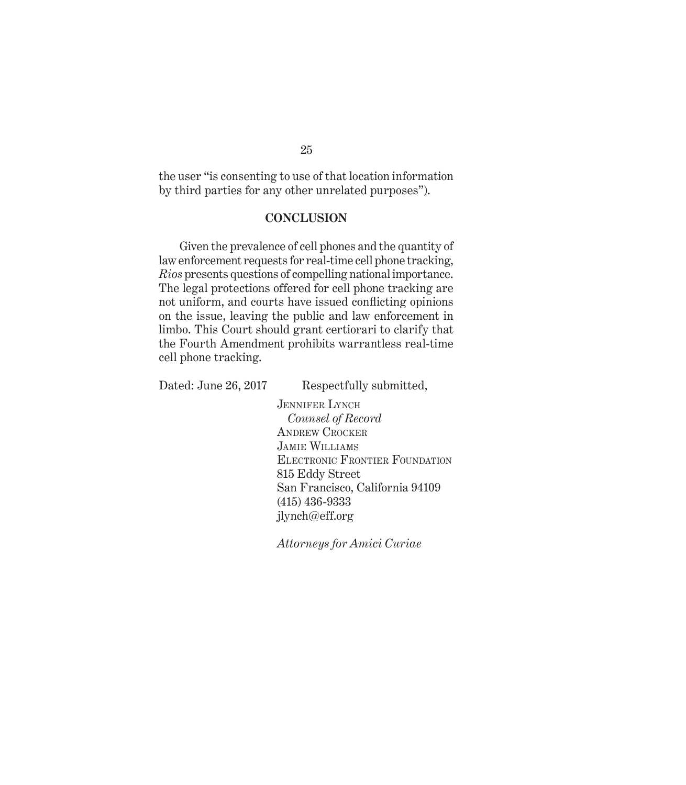the user "is consenting to use of that location information by third parties for any other unrelated purposes").

#### **CONCLUSION**

Given the prevalence of cell phones and the quantity of law enforcement requests for real-time cell phone tracking, *Rios* presents questions of compelling national importance. The legal protections offered for cell phone tracking are not uniform, and courts have issued conflicting opinions on the issue, leaving the public and law enforcement in limbo. This Court should grant certiorari to clarify that the Fourth Amendment prohibits warrantless real-time cell phone tracking.

Dated: June 26, 2017 Respectfully submitted,

JENNIFER LYNCH *Counsel of Record* Andrew Crocker Jamie Williams Electronic Frontier Foundation 815 Eddy Street San Francisco, California 94109 (415) 436-9333 jlynch@eff.org

*Attorneys for Amici Curiae*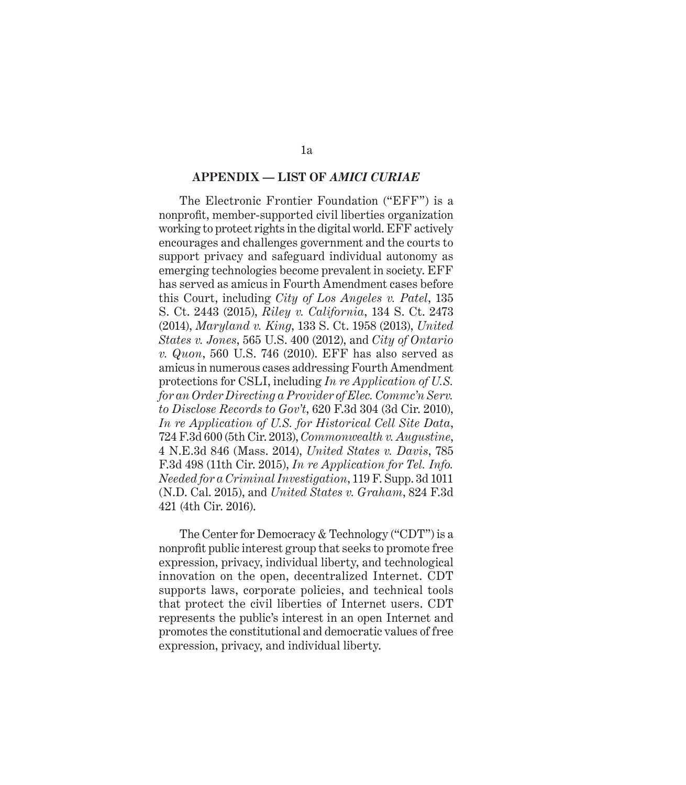#### *Appendix* **APPENDIX — LIST OF** *AMICI CURIAE*

The Electronic Frontier Foundation ("EFF") is a nonprofit, member-supported civil liberties organization working to protect rights in the digital world. EFF actively encourages and challenges government and the courts to support privacy and safeguard individual autonomy as emerging technologies become prevalent in society. EFF has served as amicus in Fourth Amendment cases before this Court, including *City of Los Angeles v. Patel*, 135 S. Ct. 2443 (2015), *Riley v. California*, 134 S. Ct. 2473 (2014), *Maryland v. King*, 133 S. Ct. 1958 (2013), *United States v. Jones*, 565 U.S. 400 (2012), and *City of Ontario v. Quon*, 560 U.S. 746 (2010). EFF has also served as amicus in numerous cases addressing Fourth Amendment protections for CSLI, including *In re Application of U.S. for an Order Directing a Provider of Elec. Commc'n Serv. to Disclose Records to Gov't*, 620 F.3d 304 (3d Cir. 2010), *In re Application of U.S. for Historical Cell Site Data*, 724 F.3d 600 (5th Cir. 2013), *Commonwealth v. Augustine*, 4 N.E.3d 846 (Mass. 2014), *United States v. Davis*, 785 F.3d 498 (11th Cir. 2015), *In re Application for Tel. Info. Needed for a Criminal Investigation*, 119 F. Supp. 3d 1011 (N.D. Cal. 2015), and *United States v. Graham*, 824 F.3d 421 (4th Cir. 2016).

The Center for Democracy & Technology ("CDT") is a nonprofit public interest group that seeks to promote free expression, privacy, individual liberty, and technological innovation on the open, decentralized Internet. CDT supports laws, corporate policies, and technical tools that protect the civil liberties of Internet users. CDT represents the public's interest in an open Internet and promotes the constitutional and democratic values of free expression, privacy, and individual liberty.